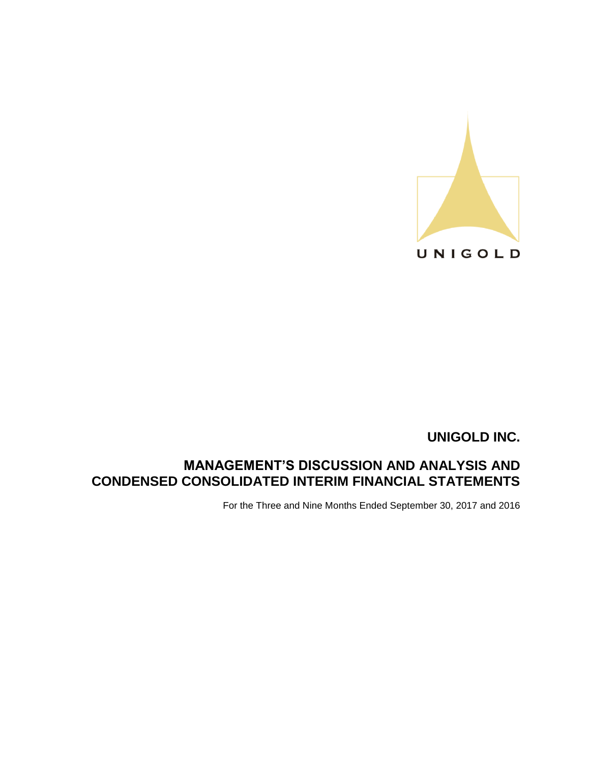

# **MANAGEMENT'S DISCUSSION AND ANALYSIS AND CONDENSED CONSOLIDATED INTERIM FINANCIAL STATEMENTS**

For the Three and Nine Months Ended September 30, 2017 and 2016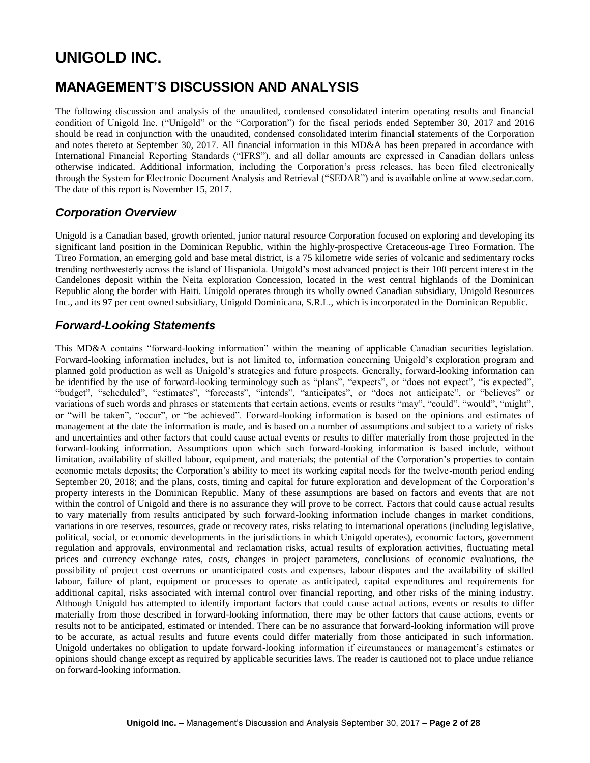# **MANAGEMENT'S DISCUSSION AND ANALYSIS**

The following discussion and analysis of the unaudited, condensed consolidated interim operating results and financial condition of Unigold Inc. ("Unigold" or the "Corporation") for the fiscal periods ended September 30, 2017 and 2016 should be read in conjunction with the unaudited, condensed consolidated interim financial statements of the Corporation and notes thereto at September 30, 2017. All financial information in this MD&A has been prepared in accordance with International Financial Reporting Standards ("IFRS"), and all dollar amounts are expressed in Canadian dollars unless otherwise indicated. Additional information, including the Corporation's press releases, has been filed electronically through the System for Electronic Document Analysis and Retrieval ("SEDAR") and is available online at www.sedar.com. The date of this report is November 15, 2017.

### *Corporation Overview*

Unigold is a Canadian based, growth oriented, junior natural resource Corporation focused on exploring and developing its significant land position in the Dominican Republic, within the highly-prospective Cretaceous-age Tireo Formation. The Tireo Formation, an emerging gold and base metal district, is a 75 kilometre wide series of volcanic and sedimentary rocks trending northwesterly across the island of Hispaniola. Unigold's most advanced project is their 100 percent interest in the Candelones deposit within the Neita exploration Concession, located in the west central highlands of the Dominican Republic along the border with Haiti. Unigold operates through its wholly owned Canadian subsidiary, Unigold Resources Inc., and its 97 per cent owned subsidiary, Unigold Dominicana, S.R.L., which is incorporated in the Dominican Republic.

### *Forward-Looking Statements*

This MD&A contains "forward-looking information" within the meaning of applicable Canadian securities legislation. Forward-looking information includes, but is not limited to, information concerning Unigold's exploration program and planned gold production as well as Unigold's strategies and future prospects. Generally, forward-looking information can be identified by the use of forward-looking terminology such as "plans", "expects", or "does not expect", "is expected", "budget", "scheduled", "estimates", "forecasts", "intends", "anticipates", or "does not anticipate", or "believes" or variations of such words and phrases or statements that certain actions, events or results "may", "could", "would", "might", or "will be taken", "occur", or "be achieved". Forward-looking information is based on the opinions and estimates of management at the date the information is made, and is based on a number of assumptions and subject to a variety of risks and uncertainties and other factors that could cause actual events or results to differ materially from those projected in the forward-looking information. Assumptions upon which such forward-looking information is based include, without limitation, availability of skilled labour, equipment, and materials; the potential of the Corporation's properties to contain economic metals deposits; the Corporation's ability to meet its working capital needs for the twelve-month period ending September 20, 2018; and the plans, costs, timing and capital for future exploration and development of the Corporation's property interests in the Dominican Republic. Many of these assumptions are based on factors and events that are not within the control of Unigold and there is no assurance they will prove to be correct. Factors that could cause actual results to vary materially from results anticipated by such forward-looking information include changes in market conditions, variations in ore reserves, resources, grade or recovery rates, risks relating to international operations (including legislative, political, social, or economic developments in the jurisdictions in which Unigold operates), economic factors, government regulation and approvals, environmental and reclamation risks, actual results of exploration activities, fluctuating metal prices and currency exchange rates, costs, changes in project parameters, conclusions of economic evaluations, the possibility of project cost overruns or unanticipated costs and expenses, labour disputes and the availability of skilled labour, failure of plant, equipment or processes to operate as anticipated, capital expenditures and requirements for additional capital, risks associated with internal control over financial reporting, and other risks of the mining industry. Although Unigold has attempted to identify important factors that could cause actual actions, events or results to differ materially from those described in forward-looking information, there may be other factors that cause actions, events or results not to be anticipated, estimated or intended. There can be no assurance that forward-looking information will prove to be accurate, as actual results and future events could differ materially from those anticipated in such information. Unigold undertakes no obligation to update forward-looking information if circumstances or management's estimates or opinions should change except as required by applicable securities laws. The reader is cautioned not to place undue reliance on forward-looking information.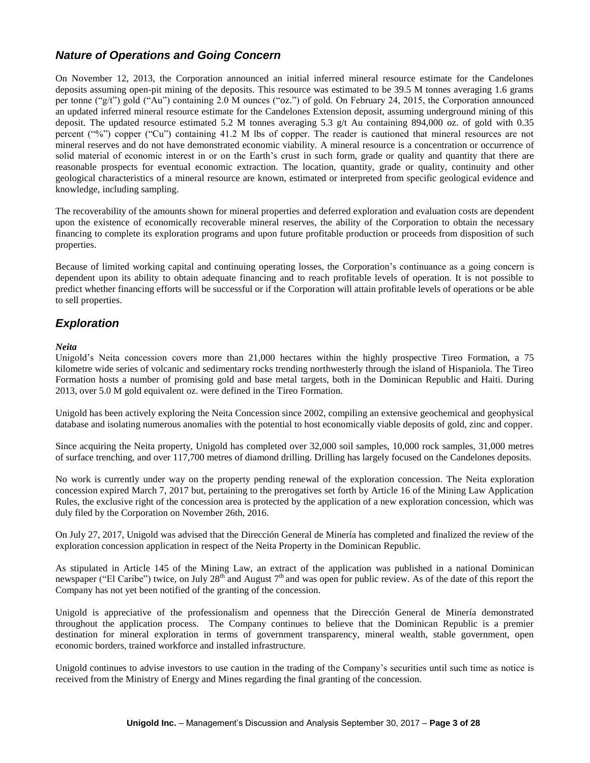# *Nature of Operations and Going Concern*

On November 12, 2013, the Corporation announced an initial inferred mineral resource estimate for the Candelones deposits assuming open-pit mining of the deposits. This resource was estimated to be 39.5 M tonnes averaging 1.6 grams per tonne ("g/t") gold ("Au") containing 2.0 M ounces ("oz.") of gold. On February 24, 2015, the Corporation announced an updated inferred mineral resource estimate for the Candelones Extension deposit, assuming underground mining of this deposit. The updated resource estimated 5.2 M tonnes averaging 5.3 g/t Au containing 894,000 oz. of gold with 0.35 percent ("%") copper ("Cu") containing 41.2 M lbs of copper. The reader is cautioned that mineral resources are not mineral reserves and do not have demonstrated economic viability. A mineral resource is a concentration or occurrence of solid material of economic interest in or on the Earth's crust in such form, grade or quality and quantity that there are reasonable prospects for eventual economic extraction. The location, quantity, grade or quality, continuity and other geological characteristics of a mineral resource are known, estimated or interpreted from specific geological evidence and knowledge, including sampling.

The recoverability of the amounts shown for mineral properties and deferred exploration and evaluation costs are dependent upon the existence of economically recoverable mineral reserves, the ability of the Corporation to obtain the necessary financing to complete its exploration programs and upon future profitable production or proceeds from disposition of such properties.

Because of limited working capital and continuing operating losses, the Corporation's continuance as a going concern is dependent upon its ability to obtain adequate financing and to reach profitable levels of operation. It is not possible to predict whether financing efforts will be successful or if the Corporation will attain profitable levels of operations or be able to sell properties.

### *Exploration*

### *Neita*

Unigold's Neita concession covers more than 21,000 hectares within the highly prospective Tireo Formation, a 75 kilometre wide series of volcanic and sedimentary rocks trending northwesterly through the island of Hispaniola. The Tireo Formation hosts a number of promising gold and base metal targets, both in the Dominican Republic and Haiti. During 2013, over 5.0 M gold equivalent oz. were defined in the Tireo Formation.

Unigold has been actively exploring the Neita Concession since 2002, compiling an extensive geochemical and geophysical database and isolating numerous anomalies with the potential to host economically viable deposits of gold, zinc and copper.

Since acquiring the Neita property, Unigold has completed over 32,000 soil samples, 10,000 rock samples, 31,000 metres of surface trenching, and over 117,700 metres of diamond drilling. Drilling has largely focused on the Candelones deposits.

No work is currently under way on the property pending renewal of the exploration concession. The Neita exploration concession expired March 7, 2017 but, pertaining to the prerogatives set forth by Article 16 of the Mining Law Application Rules, the exclusive right of the concession area is protected by the application of a new exploration concession, which was duly filed by the Corporation on November 26th, 2016.

On July 27, 2017, Unigold was advised that the Dirección General de Minería has completed and finalized the review of the exploration concession application in respect of the Neita Property in the Dominican Republic.

As stipulated in Article 145 of the Mining Law, an extract of the application was published in a national Dominican newspaper ("El Caribe") twice, on July  $28<sup>th</sup>$  and August  $7<sup>th</sup>$  and was open for public review. As of the date of this report the Company has not yet been notified of the granting of the concession.

Unigold is appreciative of the professionalism and openness that the Dirección General de Minería demonstrated throughout the application process. The Company continues to believe that the Dominican Republic is a premier destination for mineral exploration in terms of government transparency, mineral wealth, stable government, open economic borders, trained workforce and installed infrastructure.

Unigold continues to advise investors to use caution in the trading of the Company's securities until such time as notice is received from the Ministry of Energy and Mines regarding the final granting of the concession.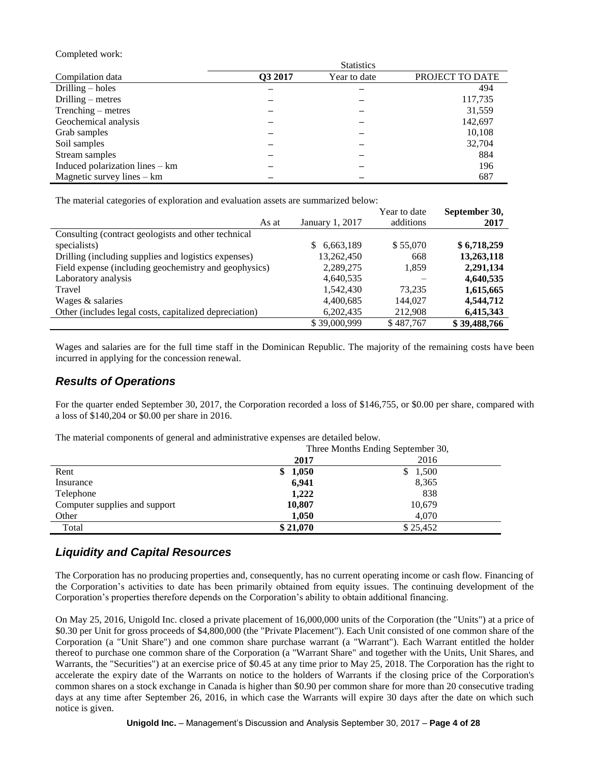#### Completed work:

|                                   |         | <b>Statistics</b> |                 |
|-----------------------------------|---------|-------------------|-----------------|
| Compilation data                  | Q3 2017 | Year to date      | PROJECT TO DATE |
| Drilling $-$ holes                |         |                   | 494             |
| Drilling $-$ metres               |         |                   | 117,735         |
| Trenching – metres                |         |                   | 31,559          |
| Geochemical analysis              |         |                   | 142,697         |
| Grab samples                      |         |                   | 10,108          |
| Soil samples                      |         |                   | 32,704          |
| Stream samples                    |         |                   | 884             |
| Induced polarization lines $-$ km |         |                   | 196             |
| Magnetic survey lines $-$ km      |         |                   | 687             |

The material categories of exploration and evaluation assets are summarized below:

|                                                        |                  | Year to date | September 30, |
|--------------------------------------------------------|------------------|--------------|---------------|
| As at                                                  | January 1, 2017  | additions    | 2017          |
| Consulting (contract geologists and other technical    |                  |              |               |
| specialists)                                           | 6,663,189<br>\$. | \$55,070     | \$6,718,259   |
| Drilling (including supplies and logistics expenses)   | 13,262,450       | 668          | 13,263,118    |
| Field expense (including geochemistry and geophysics)  | 2,289,275        | 1,859        | 2,291,134     |
| Laboratory analysis                                    | 4,640,535        |              | 4,640,535     |
| Travel                                                 | 1,542,430        | 73.235       | 1,615,665     |
| Wages & salaries                                       | 4,400,685        | 144,027      | 4,544,712     |
| Other (includes legal costs, capitalized depreciation) | 6,202,435        | 212.908      | 6,415,343     |
|                                                        | \$39,000.999     | \$487.767    | \$39,488,766  |

Wages and salaries are for the full time staff in the Dominican Republic. The majority of the remaining costs have been incurred in applying for the concession renewal.

### *Results of Operations*

For the quarter ended September 30, 2017, the Corporation recorded a loss of \$146,755, or \$0.00 per share, compared with a loss of \$140,204 or \$0.00 per share in 2016.

The material components of general and administrative expenses are detailed below.

|                               | Three Months Ending September 30, |          |  |  |
|-------------------------------|-----------------------------------|----------|--|--|
|                               | 2017                              | 2016     |  |  |
| Rent                          | \$1,050                           | 1,500    |  |  |
| Insurance                     | 6,941                             | 8,365    |  |  |
| Telephone                     | 1,222                             | 838      |  |  |
| Computer supplies and support | 10,807                            | 10,679   |  |  |
| Other                         | 1.050                             | 4.070    |  |  |
| Total                         | \$21,070                          | \$25,452 |  |  |

# *Liquidity and Capital Resources*

The Corporation has no producing properties and, consequently, has no current operating income or cash flow. Financing of the Corporation's activities to date has been primarily obtained from equity issues. The continuing development of the Corporation's properties therefore depends on the Corporation's ability to obtain additional financing.

On May 25, 2016, Unigold Inc. closed a private placement of 16,000,000 units of the Corporation (the "Units") at a price of \$0.30 per Unit for gross proceeds of \$4,800,000 (the "Private Placement"). Each Unit consisted of one common share of the Corporation (a "Unit Share") and one common share purchase warrant (a "Warrant"). Each Warrant entitled the holder thereof to purchase one common share of the Corporation (a "Warrant Share" and together with the Units, Unit Shares, and Warrants, the "Securities") at an exercise price of \$0.45 at any time prior to May 25, 2018. The Corporation has the right to accelerate the expiry date of the Warrants on notice to the holders of Warrants if the closing price of the Corporation's common shares on a stock exchange in Canada is higher than \$0.90 per common share for more than 20 consecutive trading days at any time after September 26, 2016, in which case the Warrants will expire 30 days after the date on which such notice is given.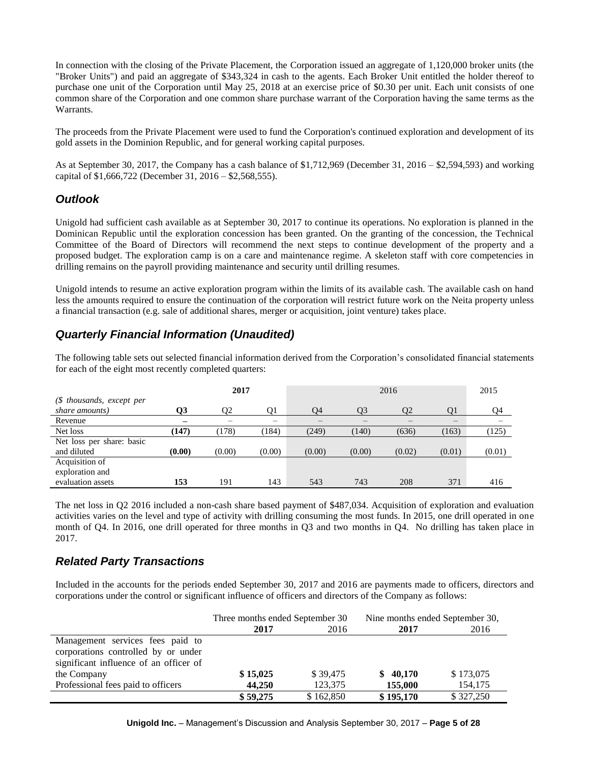In connection with the closing of the Private Placement, the Corporation issued an aggregate of 1,120,000 broker units (the "Broker Units") and paid an aggregate of \$343,324 in cash to the agents. Each Broker Unit entitled the holder thereof to purchase one unit of the Corporation until May 25, 2018 at an exercise price of \$0.30 per unit. Each unit consists of one common share of the Corporation and one common share purchase warrant of the Corporation having the same terms as the Warrants.

The proceeds from the Private Placement were used to fund the Corporation's continued exploration and development of its gold assets in the Dominion Republic, and for general working capital purposes.

As at September 30, 2017, the Company has a cash balance of \$1,712,969 (December 31, 2016 – \$2,594,593) and working capital of \$1,666,722 (December 31, 2016 – \$2,568,555).

# *Outlook*

Unigold had sufficient cash available as at September 30, 2017 to continue its operations. No exploration is planned in the Dominican Republic until the exploration concession has been granted. On the granting of the concession, the Technical Committee of the Board of Directors will recommend the next steps to continue development of the property and a proposed budget. The exploration camp is on a care and maintenance regime. A skeleton staff with core competencies in drilling remains on the payroll providing maintenance and security until drilling resumes.

Unigold intends to resume an active exploration program within the limits of its available cash. The available cash on hand less the amounts required to ensure the continuation of the corporation will restrict future work on the Neita property unless a financial transaction (e.g. sale of additional shares, merger or acquisition, joint venture) takes place.

# *Quarterly Financial Information (Unaudited)*

The following table sets out selected financial information derived from the Corporation's consolidated financial statements for each of the eight most recently completed quarters:

|                           |        | 2017   |        | 2016           |        |        | 2015   |        |
|---------------------------|--------|--------|--------|----------------|--------|--------|--------|--------|
| $$$ thousands, except per |        |        |        |                |        |        |        |        |
| share amounts)            | О3     | 02     | 01     | O <sub>4</sub> | O3     | O2     | O1     | Q4     |
| Revenue                   |        |        |        |                |        |        | –      |        |
| Net loss                  | (147)  | (178)  | (184)  | (249)          | (140)  | (636)  | (163)  | (125)  |
| Net loss per share: basic |        |        |        |                |        |        |        |        |
| and diluted               | (0.00) | (0.00) | (0.00) | (0.00)         | (0.00) | (0.02) | (0.01) | (0.01) |
| Acquisition of            |        |        |        |                |        |        |        |        |
| exploration and           |        |        |        |                |        |        |        |        |
| evaluation assets         | 153    | 191    | 143    | 543            | 743    | 208    | 371    | 416    |

The net loss in Q2 2016 included a non-cash share based payment of \$487,034. Acquisition of exploration and evaluation activities varies on the level and type of activity with drilling consuming the most funds. In 2015, one drill operated in one month of Q4. In 2016, one drill operated for three months in Q3 and two months in Q4. No drilling has taken place in 2017.

# *Related Party Transactions*

Included in the accounts for the periods ended September 30, 2017 and 2016 are payments made to officers, directors and corporations under the control or significant influence of officers and directors of the Company as follows:

|                                        | Three months ended September 30 |           | Nine months ended September 30, |           |
|----------------------------------------|---------------------------------|-----------|---------------------------------|-----------|
|                                        | 2017                            | 2016      | 2017                            | 2016      |
| Management services fees paid to       |                                 |           |                                 |           |
| corporations controlled by or under    |                                 |           |                                 |           |
| significant influence of an officer of |                                 |           |                                 |           |
| the Company                            | \$15,025                        | \$39,475  | \$40,170                        | \$173,075 |
| Professional fees paid to officers     | 44,250                          | 123,375   | 155,000                         | 154,175   |
|                                        | \$59,275                        | \$162,850 | \$195,170                       | \$327,250 |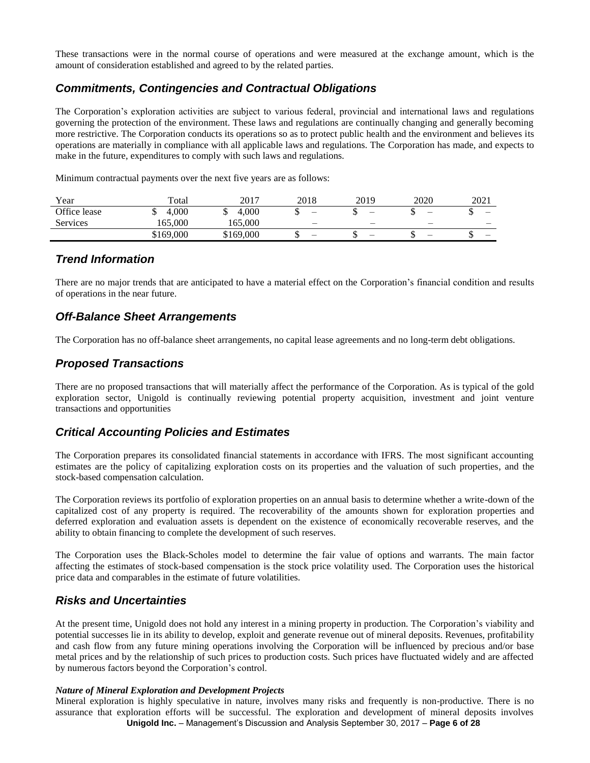These transactions were in the normal course of operations and were measured at the exchange amount, which is the amount of consideration established and agreed to by the related parties.

# *Commitments, Contingencies and Contractual Obligations*

The Corporation's exploration activities are subject to various federal, provincial and international laws and regulations governing the protection of the environment. These laws and regulations are continually changing and generally becoming more restrictive. The Corporation conducts its operations so as to protect public health and the environment and believes its operations are materially in compliance with all applicable laws and regulations. The Corporation has made, and expects to make in the future, expenditures to comply with such laws and regulations.

Minimum contractual payments over the next five years are as follows:

| Year         | Total     | 2017      | 2018 | 2019 | 2020                     | 2021   |
|--------------|-----------|-----------|------|------|--------------------------|--------|
| Office lease | 4.000     | 4.000     |      | -    | $\overline{\phantom{0}}$ | –      |
| Services     | 165.000   | 165.000   |      | -    | -                        | -      |
|              | \$169,000 | \$169,000 |      | -    | $\overline{\phantom{0}}$ | –<br>w |

### *Trend Information*

There are no major trends that are anticipated to have a material effect on the Corporation's financial condition and results of operations in the near future.

### *Off-Balance Sheet Arrangements*

The Corporation has no off-balance sheet arrangements, no capital lease agreements and no long-term debt obligations.

### *Proposed Transactions*

There are no proposed transactions that will materially affect the performance of the Corporation. As is typical of the gold exploration sector, Unigold is continually reviewing potential property acquisition, investment and joint venture transactions and opportunities

# *Critical Accounting Policies and Estimates*

The Corporation prepares its consolidated financial statements in accordance with IFRS. The most significant accounting estimates are the policy of capitalizing exploration costs on its properties and the valuation of such properties, and the stock-based compensation calculation.

The Corporation reviews its portfolio of exploration properties on an annual basis to determine whether a write-down of the capitalized cost of any property is required. The recoverability of the amounts shown for exploration properties and deferred exploration and evaluation assets is dependent on the existence of economically recoverable reserves, and the ability to obtain financing to complete the development of such reserves.

The Corporation uses the Black-Scholes model to determine the fair value of options and warrants. The main factor affecting the estimates of stock-based compensation is the stock price volatility used. The Corporation uses the historical price data and comparables in the estimate of future volatilities.

# *Risks and Uncertainties*

At the present time, Unigold does not hold any interest in a mining property in production. The Corporation's viability and potential successes lie in its ability to develop, exploit and generate revenue out of mineral deposits. Revenues, profitability and cash flow from any future mining operations involving the Corporation will be influenced by precious and/or base metal prices and by the relationship of such prices to production costs. Such prices have fluctuated widely and are affected by numerous factors beyond the Corporation's control.

#### *Nature of Mineral Exploration and Development Projects*

**Unigold Inc.** – Management's Discussion and Analysis September 30, 2017 – **Page 6 of 28** Mineral exploration is highly speculative in nature, involves many risks and frequently is non-productive. There is no assurance that exploration efforts will be successful. The exploration and development of mineral deposits involves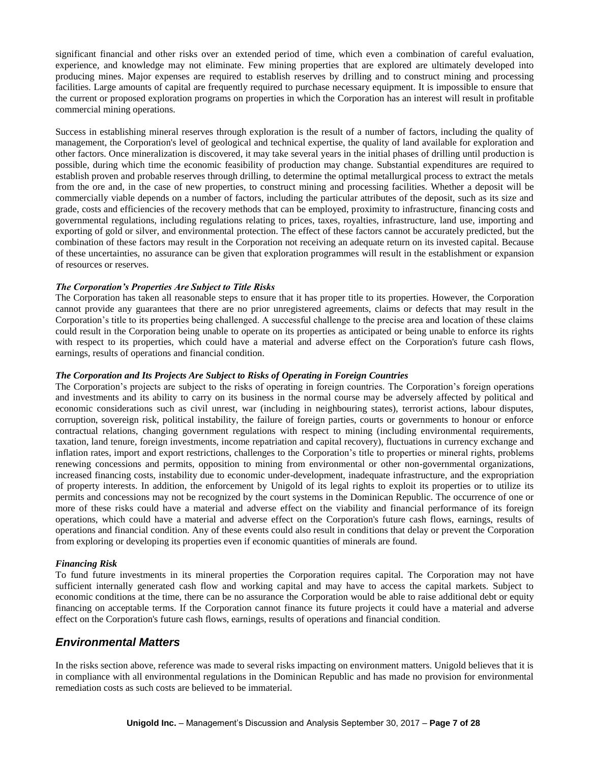significant financial and other risks over an extended period of time, which even a combination of careful evaluation, experience, and knowledge may not eliminate. Few mining properties that are explored are ultimately developed into producing mines. Major expenses are required to establish reserves by drilling and to construct mining and processing facilities. Large amounts of capital are frequently required to purchase necessary equipment. It is impossible to ensure that the current or proposed exploration programs on properties in which the Corporation has an interest will result in profitable commercial mining operations.

Success in establishing mineral reserves through exploration is the result of a number of factors, including the quality of management, the Corporation's level of geological and technical expertise, the quality of land available for exploration and other factors. Once mineralization is discovered, it may take several years in the initial phases of drilling until production is possible, during which time the economic feasibility of production may change. Substantial expenditures are required to establish proven and probable reserves through drilling, to determine the optimal metallurgical process to extract the metals from the ore and, in the case of new properties, to construct mining and processing facilities. Whether a deposit will be commercially viable depends on a number of factors, including the particular attributes of the deposit, such as its size and grade, costs and efficiencies of the recovery methods that can be employed, proximity to infrastructure, financing costs and governmental regulations, including regulations relating to prices, taxes, royalties, infrastructure, land use, importing and exporting of gold or silver, and environmental protection. The effect of these factors cannot be accurately predicted, but the combination of these factors may result in the Corporation not receiving an adequate return on its invested capital. Because of these uncertainties, no assurance can be given that exploration programmes will result in the establishment or expansion of resources or reserves.

#### *The Corporation's Properties Are Subject to Title Risks*

The Corporation has taken all reasonable steps to ensure that it has proper title to its properties. However, the Corporation cannot provide any guarantees that there are no prior unregistered agreements, claims or defects that may result in the Corporation's title to its properties being challenged. A successful challenge to the precise area and location of these claims could result in the Corporation being unable to operate on its properties as anticipated or being unable to enforce its rights with respect to its properties, which could have a material and adverse effect on the Corporation's future cash flows, earnings, results of operations and financial condition.

#### *The Corporation and Its Projects Are Subject to Risks of Operating in Foreign Countries*

The Corporation's projects are subject to the risks of operating in foreign countries. The Corporation's foreign operations and investments and its ability to carry on its business in the normal course may be adversely affected by political and economic considerations such as civil unrest, war (including in neighbouring states), terrorist actions, labour disputes, corruption, sovereign risk, political instability, the failure of foreign parties, courts or governments to honour or enforce contractual relations, changing government regulations with respect to mining (including environmental requirements, taxation, land tenure, foreign investments, income repatriation and capital recovery), fluctuations in currency exchange and inflation rates, import and export restrictions, challenges to the Corporation's title to properties or mineral rights, problems renewing concessions and permits, opposition to mining from environmental or other non-governmental organizations, increased financing costs, instability due to economic under-development, inadequate infrastructure, and the expropriation of property interests. In addition, the enforcement by Unigold of its legal rights to exploit its properties or to utilize its permits and concessions may not be recognized by the court systems in the Dominican Republic. The occurrence of one or more of these risks could have a material and adverse effect on the viability and financial performance of its foreign operations, which could have a material and adverse effect on the Corporation's future cash flows, earnings, results of operations and financial condition. Any of these events could also result in conditions that delay or prevent the Corporation from exploring or developing its properties even if economic quantities of minerals are found.

### *Financing Risk*

To fund future investments in its mineral properties the Corporation requires capital. The Corporation may not have sufficient internally generated cash flow and working capital and may have to access the capital markets. Subject to economic conditions at the time, there can be no assurance the Corporation would be able to raise additional debt or equity financing on acceptable terms. If the Corporation cannot finance its future projects it could have a material and adverse effect on the Corporation's future cash flows, earnings, results of operations and financial condition.

### *Environmental Matters*

In the risks section above, reference was made to several risks impacting on environment matters. Unigold believes that it is in compliance with all environmental regulations in the Dominican Republic and has made no provision for environmental remediation costs as such costs are believed to be immaterial.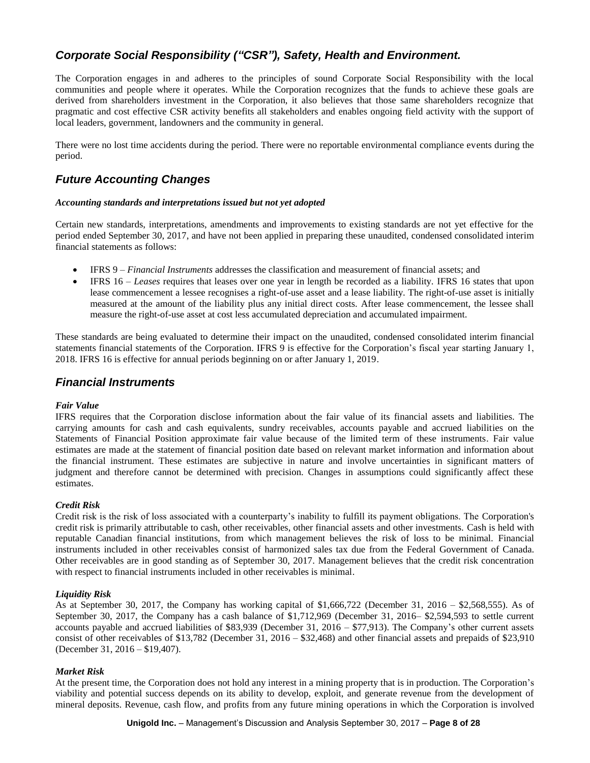# *Corporate Social Responsibility ("CSR"), Safety, Health and Environment.*

The Corporation engages in and adheres to the principles of sound Corporate Social Responsibility with the local communities and people where it operates. While the Corporation recognizes that the funds to achieve these goals are derived from shareholders investment in the Corporation, it also believes that those same shareholders recognize that pragmatic and cost effective CSR activity benefits all stakeholders and enables ongoing field activity with the support of local leaders, government, landowners and the community in general.

There were no lost time accidents during the period. There were no reportable environmental compliance events during the period.

### *Future Accounting Changes*

#### *Accounting standards and interpretations issued but not yet adopted*

Certain new standards, interpretations, amendments and improvements to existing standards are not yet effective for the period ended September 30, 2017, and have not been applied in preparing these unaudited, condensed consolidated interim financial statements as follows:

- IFRS 9 *Financial Instruments* addresses the classification and measurement of financial assets; and
- IFRS 16 *Leases* requires that leases over one year in length be recorded as a liability. IFRS 16 states that upon lease commencement a lessee recognises a right-of-use asset and a lease liability. The right-of-use asset is initially measured at the amount of the liability plus any initial direct costs. After lease commencement, the lessee shall measure the right-of-use asset at cost less accumulated depreciation and accumulated impairment.

These standards are being evaluated to determine their impact on the unaudited, condensed consolidated interim financial statements financial statements of the Corporation. IFRS 9 is effective for the Corporation's fiscal year starting January 1, 2018. IFRS 16 is effective for annual periods beginning on or after January 1, 2019.

### *Financial Instruments*

#### *Fair Value*

IFRS requires that the Corporation disclose information about the fair value of its financial assets and liabilities. The carrying amounts for cash and cash equivalents, sundry receivables, accounts payable and accrued liabilities on the Statements of Financial Position approximate fair value because of the limited term of these instruments. Fair value estimates are made at the statement of financial position date based on relevant market information and information about the financial instrument. These estimates are subjective in nature and involve uncertainties in significant matters of judgment and therefore cannot be determined with precision. Changes in assumptions could significantly affect these estimates.

#### *Credit Risk*

Credit risk is the risk of loss associated with a counterparty's inability to fulfill its payment obligations. The Corporation's credit risk is primarily attributable to cash, other receivables, other financial assets and other investments. Cash is held with reputable Canadian financial institutions, from which management believes the risk of loss to be minimal. Financial instruments included in other receivables consist of harmonized sales tax due from the Federal Government of Canada. Other receivables are in good standing as of September 30, 2017. Management believes that the credit risk concentration with respect to financial instruments included in other receivables is minimal.

#### *Liquidity Risk*

As at September 30, 2017, the Company has working capital of \$1,666,722 (December 31, 2016 – \$2,568,555). As of September 30, 2017, the Company has a cash balance of \$1,712,969 (December 31, 2016– \$2,594,593 to settle current accounts payable and accrued liabilities of \$83,939 (December 31, 2016 – \$77,913). The Company's other current assets consist of other receivables of \$13,782 (December 31, 2016 – \$32,468) and other financial assets and prepaids of \$23,910 (December 31, 2016 – \$19,407).

#### *Market Risk*

At the present time, the Corporation does not hold any interest in a mining property that is in production. The Corporation's viability and potential success depends on its ability to develop, exploit, and generate revenue from the development of mineral deposits. Revenue, cash flow, and profits from any future mining operations in which the Corporation is involved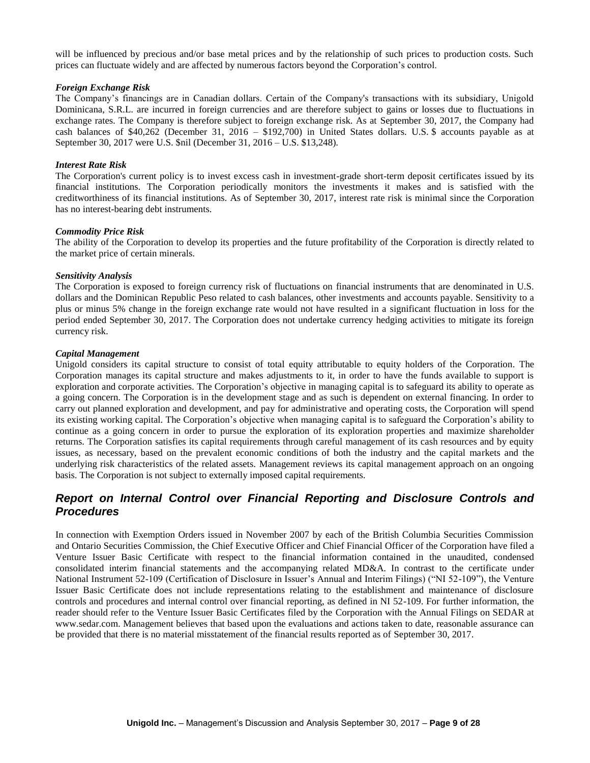will be influenced by precious and/or base metal prices and by the relationship of such prices to production costs. Such prices can fluctuate widely and are affected by numerous factors beyond the Corporation's control.

#### *Foreign Exchange Risk*

The Company's financings are in Canadian dollars. Certain of the Company's transactions with its subsidiary, Unigold Dominicana, S.R.L. are incurred in foreign currencies and are therefore subject to gains or losses due to fluctuations in exchange rates. The Company is therefore subject to foreign exchange risk. As at September 30, 2017, the Company had cash balances of \$40,262 (December 31, 2016 – \$192,700) in United States dollars. U.S. \$ accounts payable as at September 30, 2017 were U.S. \$nil (December 31, 2016 – U.S. \$13,248).

#### *Interest Rate Risk*

The Corporation's current policy is to invest excess cash in investment-grade short-term deposit certificates issued by its financial institutions. The Corporation periodically monitors the investments it makes and is satisfied with the creditworthiness of its financial institutions. As of September 30, 2017, interest rate risk is minimal since the Corporation has no interest-bearing debt instruments.

#### *Commodity Price Risk*

The ability of the Corporation to develop its properties and the future profitability of the Corporation is directly related to the market price of certain minerals.

#### *Sensitivity Analysis*

The Corporation is exposed to foreign currency risk of fluctuations on financial instruments that are denominated in U.S. dollars and the Dominican Republic Peso related to cash balances, other investments and accounts payable. Sensitivity to a plus or minus 5% change in the foreign exchange rate would not have resulted in a significant fluctuation in loss for the period ended September 30, 2017. The Corporation does not undertake currency hedging activities to mitigate its foreign currency risk.

#### *Capital Management*

Unigold considers its capital structure to consist of total equity attributable to equity holders of the Corporation. The Corporation manages its capital structure and makes adjustments to it, in order to have the funds available to support is exploration and corporate activities. The Corporation's objective in managing capital is to safeguard its ability to operate as a going concern. The Corporation is in the development stage and as such is dependent on external financing. In order to carry out planned exploration and development, and pay for administrative and operating costs, the Corporation will spend its existing working capital. The Corporation's objective when managing capital is to safeguard the Corporation's ability to continue as a going concern in order to pursue the exploration of its exploration properties and maximize shareholder returns. The Corporation satisfies its capital requirements through careful management of its cash resources and by equity issues, as necessary, based on the prevalent economic conditions of both the industry and the capital markets and the underlying risk characteristics of the related assets. Management reviews its capital management approach on an ongoing basis. The Corporation is not subject to externally imposed capital requirements.

# *Report on Internal Control over Financial Reporting and Disclosure Controls and Procedures*

In connection with Exemption Orders issued in November 2007 by each of the British Columbia Securities Commission and Ontario Securities Commission, the Chief Executive Officer and Chief Financial Officer of the Corporation have filed a Venture Issuer Basic Certificate with respect to the financial information contained in the unaudited, condensed consolidated interim financial statements and the accompanying related MD&A. In contrast to the certificate under National Instrument 52-109 (Certification of Disclosure in Issuer's Annual and Interim Filings) ("NI 52-109"), the Venture Issuer Basic Certificate does not include representations relating to the establishment and maintenance of disclosure controls and procedures and internal control over financial reporting, as defined in NI 52-109. For further information, the reader should refer to the Venture Issuer Basic Certificates filed by the Corporation with the Annual Filings on SEDAR at www.sedar.com. Management believes that based upon the evaluations and actions taken to date, reasonable assurance can be provided that there is no material misstatement of the financial results reported as of September 30, 2017.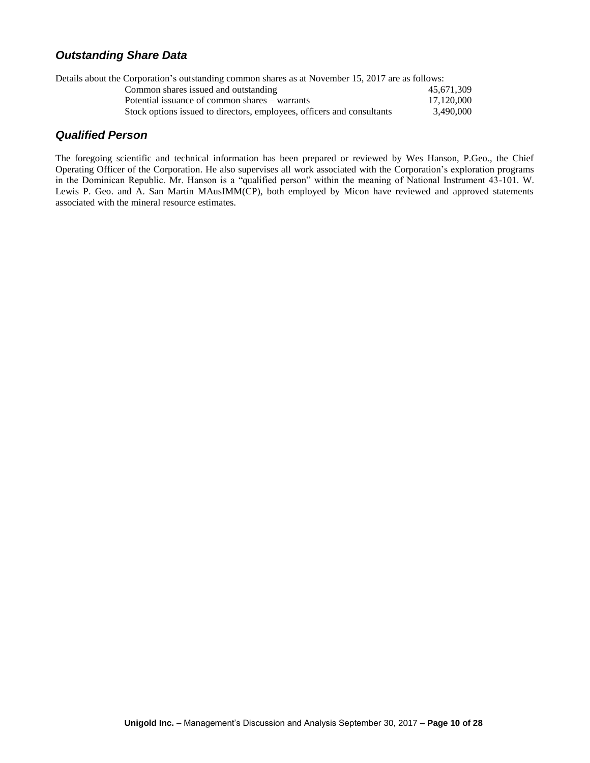# *Outstanding Share Data*

| Details about the Corporation's outstanding common shares as at November 15, 2017 are as follows: |  |  |  |  |
|---------------------------------------------------------------------------------------------------|--|--|--|--|
| 45.671.309                                                                                        |  |  |  |  |
| 17.120.000                                                                                        |  |  |  |  |
| 3.490,000                                                                                         |  |  |  |  |
|                                                                                                   |  |  |  |  |

## *Qualified Person*

The foregoing scientific and technical information has been prepared or reviewed by Wes Hanson, P.Geo., the Chief Operating Officer of the Corporation. He also supervises all work associated with the Corporation's exploration programs in the Dominican Republic. Mr. Hanson is a "qualified person" within the meaning of National Instrument 43-101. W. Lewis P. Geo. and A. San Martin MAusIMM(CP), both employed by Micon have reviewed and approved statements associated with the mineral resource estimates.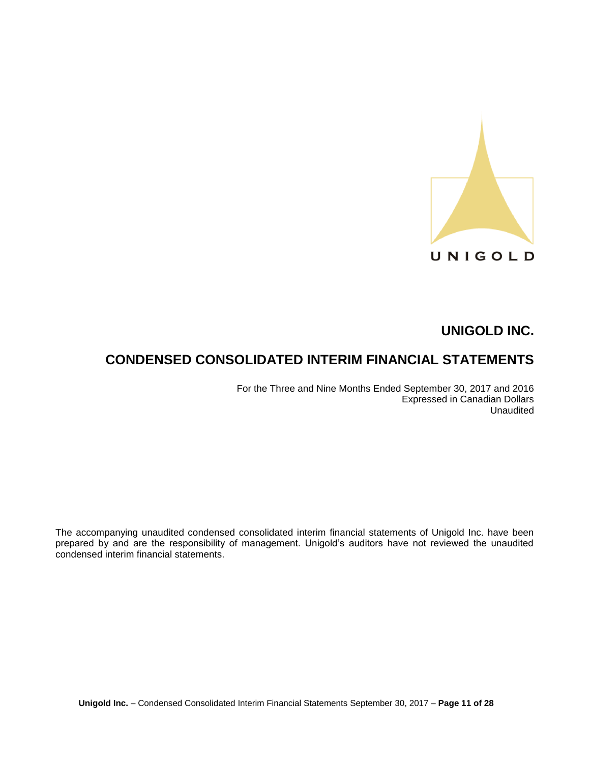

# **CONDENSED CONSOLIDATED INTERIM FINANCIAL STATEMENTS**

For the Three and Nine Months Ended September 30, 2017 and 2016 Expressed in Canadian Dollars Unaudited

The accompanying unaudited condensed consolidated interim financial statements of Unigold Inc. have been prepared by and are the responsibility of management. Unigold's auditors have not reviewed the unaudited condensed interim financial statements.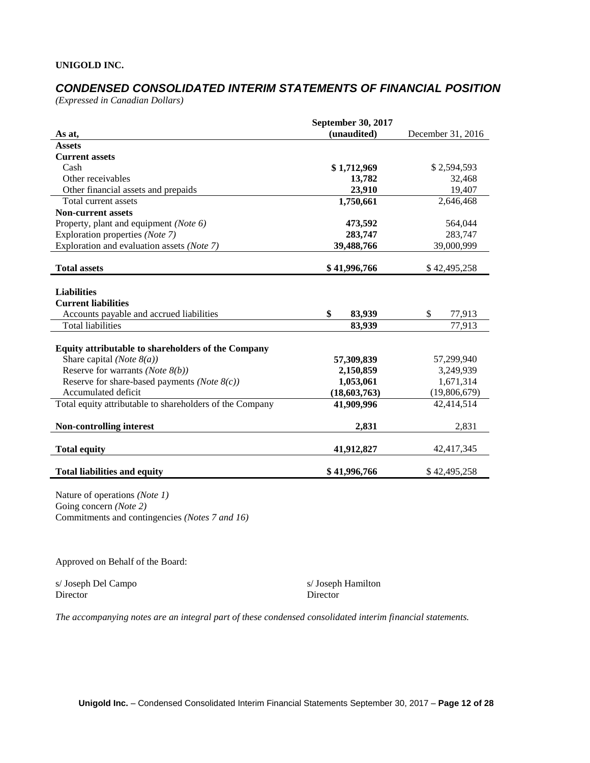# *CONDENSED CONSOLIDATED INTERIM STATEMENTS OF FINANCIAL POSITION*

*(Expressed in Canadian Dollars)*

|                                                          | <b>September 30, 2017</b> |                   |
|----------------------------------------------------------|---------------------------|-------------------|
| As at,                                                   | (unaudited)               | December 31, 2016 |
| <b>Assets</b>                                            |                           |                   |
| <b>Current assets</b>                                    |                           |                   |
| Cash                                                     | \$1,712,969               | \$2,594,593       |
| Other receivables                                        | 13,782                    | 32,468            |
| Other financial assets and prepaids                      | 23,910                    | 19,407            |
| Total current assets                                     | 1,750,661                 | 2,646,468         |
| <b>Non-current assets</b>                                |                           |                   |
| Property, plant and equipment (Note 6)                   | 473,592                   | 564,044           |
| Exploration properties (Note 7)                          | 283,747                   | 283,747           |
| Exploration and evaluation assets (Note 7)               | 39,488,766                | 39,000,999        |
|                                                          |                           |                   |
| <b>Total assets</b>                                      | \$41,996,766              | \$42,495,258      |
|                                                          |                           |                   |
| <b>Liabilities</b>                                       |                           |                   |
| <b>Current liabilities</b>                               |                           |                   |
| Accounts payable and accrued liabilities                 | \$<br>83,939              | \$<br>77,913      |
| <b>Total liabilities</b>                                 | 83,939                    | 77,913            |
|                                                          |                           |                   |
| Equity attributable to shareholders of the Company       |                           |                   |
| Share capital (Note $8(a)$ )                             | 57,309,839                | 57,299,940        |
| Reserve for warrants (Note $8(b)$ )                      | 2,150,859                 | 3,249,939         |
| Reserve for share-based payments (Note $8(c)$ )          | 1,053,061                 | 1,671,314         |
| Accumulated deficit                                      | (18,603,763)              | (19,806,679)      |
| Total equity attributable to shareholders of the Company | 41,909,996                | 42,414,514        |
|                                                          |                           |                   |
| <b>Non-controlling interest</b>                          | 2,831                     | 2,831             |
|                                                          |                           |                   |
| <b>Total equity</b>                                      | 41,912,827                | 42,417,345        |
|                                                          |                           |                   |
| <b>Total liabilities and equity</b>                      | \$41,996,766              | \$42,495,258      |

Nature of operations *(Note 1)* Going concern *(Note 2)* Commitments and contingencies *(Notes 7 and 16)*

Approved on Behalf of the Board:

s/ Joseph Del Campo s/ Joseph Hamilton Director Director

*The accompanying notes are an integral part of these condensed consolidated interim financial statements.*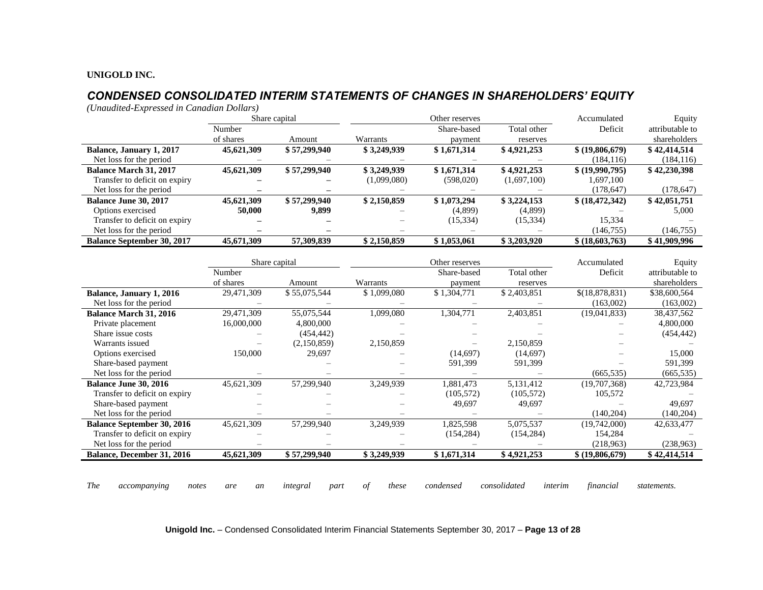# *CONDENSED CONSOLIDATED INTERIM STATEMENTS OF CHANGES IN SHAREHOLDERS' EQUITY*

*(Unaudited-Expressed in Canadian Dollars)*

|                                   |            | Share capital | Other reserves |             |             | Accumulated       | Equity          |
|-----------------------------------|------------|---------------|----------------|-------------|-------------|-------------------|-----------------|
|                                   | Number     |               |                | Share-based | Total other | Deficit           | attributable to |
|                                   | of shares  | Amount        | Warrants       | payment     | reserves    |                   | shareholders    |
| Balance, January 1, 2017          | 45,621,309 | \$57,299,940  | \$3,249,939    | \$1,671,314 | \$4,921,253 | \$ (19,806,679)   | \$42,414,514    |
| Net loss for the period           |            |               |                |             |             | (184, 116)        | (184, 116)      |
| <b>Balance March 31, 2017</b>     | 45,621,309 | \$57,299,940  | \$3,249,939    | \$1,671,314 | \$4,921,253 | \$ (19,990,795)   | \$42,230,398    |
| Transfer to deficit on expiry     |            |               | (1,099,080)    | (598,020)   | (1,697,100) | 1,697,100         |                 |
| Net loss for the period           |            |               |                |             |             | (178, 647)        | (178, 647)      |
| <b>Balance June 30, 2017</b>      | 45,621,309 | \$57,299,940  | \$2,150,859    | \$1,073,294 | \$3,224,153 | \$ (18, 472, 342) | \$42,051,751    |
| Options exercised                 | 50,000     | 9,899         |                | (4,899)     | (4,899)     |                   | 5,000           |
| Transfer to deficit on expiry     |            |               |                | (15, 334)   | (15, 334)   | 15.334            |                 |
| Net loss for the period           |            |               |                |             |             | (146, 755)        | (146, 755)      |
| <b>Balance September 30, 2017</b> | 45,671,309 | 57,309,839    | \$2,150,859    | \$1,053,061 | \$3,203,920 | \$ (18,603,763)   | \$41,909,996    |

|                                   |            | Share capital | Other reserves |             |             | Accumulated     | Equity          |
|-----------------------------------|------------|---------------|----------------|-------------|-------------|-----------------|-----------------|
|                                   | Number     |               |                | Share-based | Total other | Deficit         | attributable to |
|                                   | of shares  | Amount        | Warrants       | payment     | reserves    |                 | shareholders    |
| <b>Balance, January 1, 2016</b>   | 29,471,309 | \$55,075,544  | \$1,099,080    | \$1,304,771 | \$2,403,851 | \$(18,878,831)  | \$38,600,564    |
| Net loss for the period           |            |               |                |             |             | (163,002)       | (163,002)       |
| <b>Balance March 31, 2016</b>     | 29,471,309 | 55,075,544    | 1,099,080      | 1,304,771   | 2,403,851   | (19,041,833)    | 38,437,562      |
| Private placement                 | 16,000,000 | 4,800,000     |                |             |             |                 | 4,800,000       |
| Share issue costs                 |            | (454, 442)    |                |             |             |                 | (454, 442)      |
| Warrants issued                   |            | (2,150,859)   | 2,150,859      |             | 2,150,859   |                 |                 |
| Options exercised                 | 150,000    | 29,697        |                | (14,697)    | (14,697)    |                 | 15,000          |
| Share-based payment               |            |               |                | 591,399     | 591,399     |                 | 591,399         |
| Net loss for the period           |            |               |                |             |             | (665, 535)      | (665, 535)      |
| <b>Balance June 30, 2016</b>      | 45,621,309 | 57,299,940    | 3,249,939      | 1,881,473   | 5,131,412   | (19,707,368)    | 42,723,984      |
| Transfer to deficit on expiry     |            |               |                | (105, 572)  | (105, 572)  | 105,572         |                 |
| Share-based payment               |            |               |                | 49,697      | 49,697      |                 | 49,697          |
| Net loss for the period           |            |               |                |             |             | (140, 204)      | (140, 204)      |
| <b>Balance September 30, 2016</b> | 45,621,309 | 57,299,940    | 3,249,939      | 1,825,598   | 5,075,537   | (19,742,000)    | 42,633,477      |
| Transfer to deficit on expiry     |            |               |                | (154, 284)  | (154, 284)  | 154,284         |                 |
| Net loss for the period           |            |               |                |             |             | (218,963)       | (238,963)       |
| Balance, December 31, 2016        | 45,621,309 | \$57,299,940  | \$3,249,939    | \$1,671,314 | \$4,921,253 | \$ (19,806,679) | \$42,414,514    |
|                                   |            |               |                |             |             |                 |                 |

*The accompanying notes are an integral part of these condensed consolidated interim financial statements.*

**Unigold Inc.** – Condensed Consolidated Interim Financial Statements September 30, 2017 – **Page 13 of 28**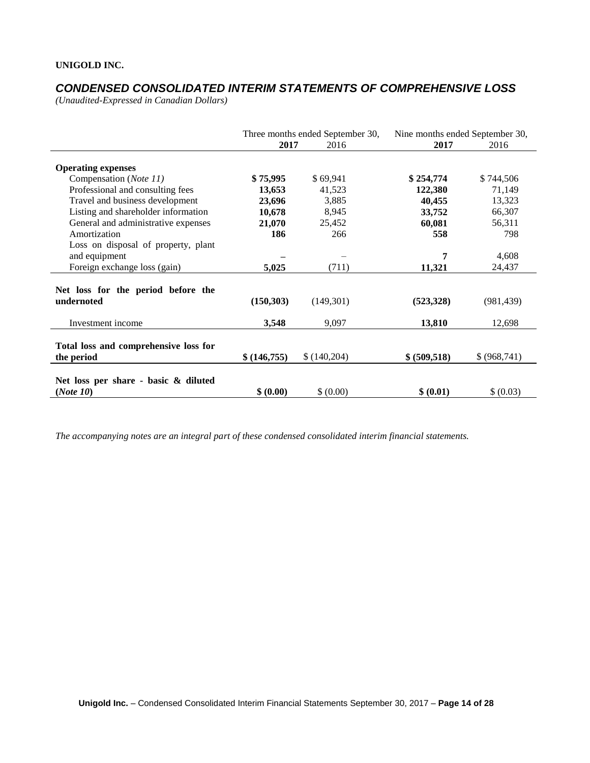# *CONDENSED CONSOLIDATED INTERIM STATEMENTS OF COMPREHENSIVE LOSS*

*(Unaudited-Expressed in Canadian Dollars)* 

|                                                      |               | Three months ended September 30, |               | Nine months ended September 30, |
|------------------------------------------------------|---------------|----------------------------------|---------------|---------------------------------|
|                                                      | 2017          | 2016                             | 2017          | 2016                            |
| <b>Operating expenses</b>                            |               |                                  |               |                                 |
| Compensation (Note 11)                               | \$75,995      | \$69,941                         | \$254,774     | \$744,506                       |
| Professional and consulting fees                     | 13,653        | 41,523                           | 122,380       | 71,149                          |
| Travel and business development                      | 23,696        | 3,885                            | 40,455        | 13,323                          |
| Listing and shareholder information                  | 10,678        | 8,945                            | 33,752        | 66,307                          |
| General and administrative expenses                  | 21,070        | 25,452                           | 60,081        | 56,311                          |
| Amortization                                         | 186           | 266                              | 558           | 798                             |
| Loss on disposal of property, plant<br>and equipment |               |                                  | 7             | 4,608                           |
| Foreign exchange loss (gain)                         | 5,025         | (711)                            | 11,321        | 24,437                          |
|                                                      |               |                                  |               |                                 |
| Net loss for the period before the<br>undernoted     | (150, 303)    | (149,301)                        | (523, 328)    | (981, 439)                      |
| Investment income                                    | 3,548         | 9,097                            | 13,810        | 12,698                          |
| Total loss and comprehensive loss for<br>the period  | \$ (146, 755) | \$(140,204)                      | \$ (509, 518) | \$ (968, 741)                   |
| Net loss per share - basic & diluted<br>(Note 10)    | \$ (0.00)     | \$ (0.00)                        | \$ (0.01)     | \$ (0.03)                       |

*The accompanying notes are an integral part of these condensed consolidated interim financial statements.*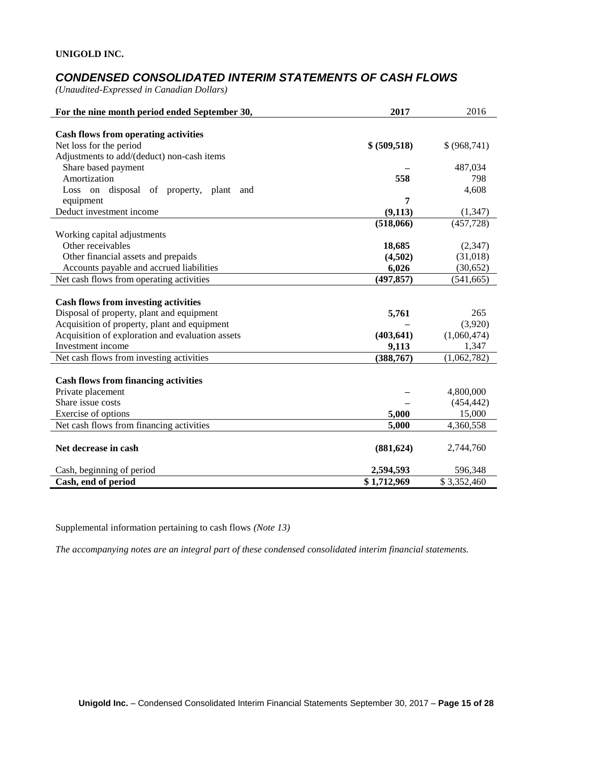# *CONDENSED CONSOLIDATED INTERIM STATEMENTS OF CASH FLOWS*

*(Unaudited-Expressed in Canadian Dollars)* 

| For the nine month period ended September 30,    | 2017          | 2016          |
|--------------------------------------------------|---------------|---------------|
|                                                  |               |               |
| <b>Cash flows from operating activities</b>      |               |               |
| Net loss for the period                          | \$ (509, 518) | \$ (968, 741) |
| Adjustments to add/(deduct) non-cash items       |               |               |
| Share based payment<br>Amortization              |               | 487,034       |
|                                                  | 558           | 798           |
| Loss on disposal of property, plant<br>and       | 7             | 4,608         |
| equipment                                        |               |               |
| Deduct investment income                         | (9, 113)      | (1, 347)      |
|                                                  | (518,066)     | (457, 728)    |
| Working capital adjustments                      |               |               |
| Other receivables                                | 18,685        | (2,347)       |
| Other financial assets and prepaids              | (4,502)       | (31,018)      |
| Accounts payable and accrued liabilities         | 6,026         | (30, 652)     |
| Net cash flows from operating activities         | (497, 857)    | (541, 665)    |
| <b>Cash flows from investing activities</b>      |               |               |
| Disposal of property, plant and equipment        | 5,761         | 265           |
| Acquisition of property, plant and equipment     |               | (3,920)       |
| Acquisition of exploration and evaluation assets | (403, 641)    | (1,060,474)   |
| Investment income                                | 9,113         | 1,347         |
| Net cash flows from investing activities         | (388, 767)    | (1,062,782)   |
|                                                  |               |               |
| <b>Cash flows from financing activities</b>      |               |               |
| Private placement                                |               | 4,800,000     |
| Share issue costs                                |               | (454, 442)    |
| Exercise of options                              | 5,000         | 15,000        |
| Net cash flows from financing activities         | 5,000         | 4,360,558     |
|                                                  |               |               |
| Net decrease in cash                             | (881, 624)    | 2,744,760     |
|                                                  |               |               |
| Cash, beginning of period                        | 2,594,593     | 596,348       |
| Cash, end of period                              | \$1,712,969   | \$3,352,460   |

Supplemental information pertaining to cash flows *(Note 13)*

*The accompanying notes are an integral part of these condensed consolidated interim financial statements.*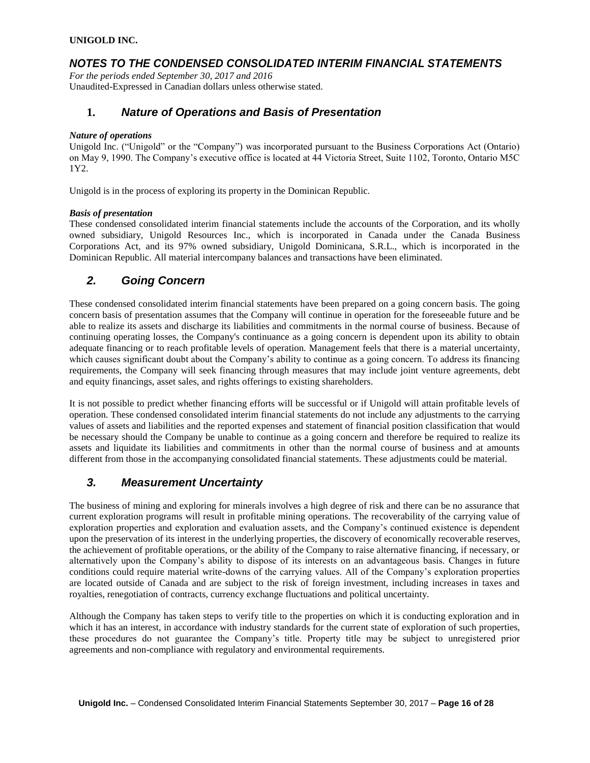### *NOTES TO THE CONDENSED CONSOLIDATED INTERIM FINANCIAL STATEMENTS*

*For the periods ended September 30, 2017 and 2016* Unaudited-Expressed in Canadian dollars unless otherwise stated.

### **1.** *Nature of Operations and Basis of Presentation*

#### *Nature of operations*

Unigold Inc. ("Unigold" or the "Company") was incorporated pursuant to the Business Corporations Act (Ontario) on May 9, 1990. The Company's executive office is located at 44 Victoria Street, Suite 1102, Toronto, Ontario M5C 1Y2.

Unigold is in the process of exploring its property in the Dominican Republic.

#### *Basis of presentation*

These condensed consolidated interim financial statements include the accounts of the Corporation, and its wholly owned subsidiary, Unigold Resources Inc., which is incorporated in Canada under the Canada Business Corporations Act, and its 97% owned subsidiary, Unigold Dominicana, S.R.L., which is incorporated in the Dominican Republic. All material intercompany balances and transactions have been eliminated.

### *2. Going Concern*

These condensed consolidated interim financial statements have been prepared on a going concern basis. The going concern basis of presentation assumes that the Company will continue in operation for the foreseeable future and be able to realize its assets and discharge its liabilities and commitments in the normal course of business. Because of continuing operating losses, the Company's continuance as a going concern is dependent upon its ability to obtain adequate financing or to reach profitable levels of operation. Management feels that there is a material uncertainty, which causes significant doubt about the Company's ability to continue as a going concern. To address its financing requirements, the Company will seek financing through measures that may include joint venture agreements, debt and equity financings, asset sales, and rights offerings to existing shareholders.

It is not possible to predict whether financing efforts will be successful or if Unigold will attain profitable levels of operation. These condensed consolidated interim financial statements do not include any adjustments to the carrying values of assets and liabilities and the reported expenses and statement of financial position classification that would be necessary should the Company be unable to continue as a going concern and therefore be required to realize its assets and liquidate its liabilities and commitments in other than the normal course of business and at amounts different from those in the accompanying consolidated financial statements. These adjustments could be material.

### *3. Measurement Uncertainty*

The business of mining and exploring for minerals involves a high degree of risk and there can be no assurance that current exploration programs will result in profitable mining operations. The recoverability of the carrying value of exploration properties and exploration and evaluation assets, and the Company's continued existence is dependent upon the preservation of its interest in the underlying properties, the discovery of economically recoverable reserves, the achievement of profitable operations, or the ability of the Company to raise alternative financing, if necessary, or alternatively upon the Company's ability to dispose of its interests on an advantageous basis. Changes in future conditions could require material write-downs of the carrying values. All of the Company's exploration properties are located outside of Canada and are subject to the risk of foreign investment, including increases in taxes and royalties, renegotiation of contracts, currency exchange fluctuations and political uncertainty.

Although the Company has taken steps to verify title to the properties on which it is conducting exploration and in which it has an interest, in accordance with industry standards for the current state of exploration of such properties, these procedures do not guarantee the Company's title. Property title may be subject to unregistered prior agreements and non-compliance with regulatory and environmental requirements.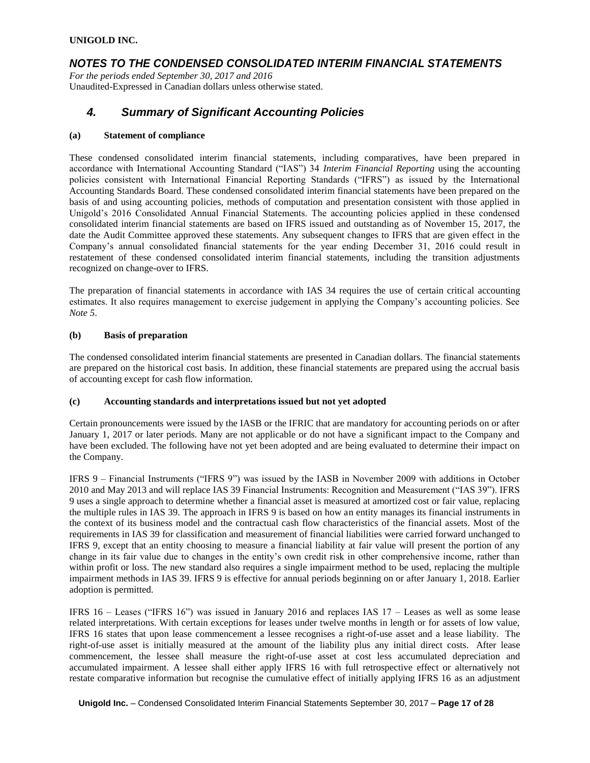### *NOTES TO THE CONDENSED CONSOLIDATED INTERIM FINANCIAL STATEMENTS*

*For the periods ended September 30, 2017 and 2016* Unaudited-Expressed in Canadian dollars unless otherwise stated.

### *4. Summary of Significant Accounting Policies*

#### **(a) Statement of compliance**

These condensed consolidated interim financial statements, including comparatives, have been prepared in accordance with International Accounting Standard ("IAS") 34 *Interim Financial Reporting* using the accounting policies consistent with International Financial Reporting Standards ("IFRS") as issued by the International Accounting Standards Board. These condensed consolidated interim financial statements have been prepared on the basis of and using accounting policies, methods of computation and presentation consistent with those applied in Unigold's 2016 Consolidated Annual Financial Statements. The accounting policies applied in these condensed consolidated interim financial statements are based on IFRS issued and outstanding as of November 15, 2017, the date the Audit Committee approved these statements. Any subsequent changes to IFRS that are given effect in the Company's annual consolidated financial statements for the year ending December 31, 2016 could result in restatement of these condensed consolidated interim financial statements, including the transition adjustments recognized on change-over to IFRS.

The preparation of financial statements in accordance with IAS 34 requires the use of certain critical accounting estimates. It also requires management to exercise judgement in applying the Company's accounting policies. See *Note 5*.

#### **(b) Basis of preparation**

The condensed consolidated interim financial statements are presented in Canadian dollars. The financial statements are prepared on the historical cost basis. In addition, these financial statements are prepared using the accrual basis of accounting except for cash flow information.

### **(c) Accounting standards and interpretations issued but not yet adopted**

Certain pronouncements were issued by the IASB or the IFRIC that are mandatory for accounting periods on or after January 1, 2017 or later periods. Many are not applicable or do not have a significant impact to the Company and have been excluded. The following have not yet been adopted and are being evaluated to determine their impact on the Company.

IFRS 9 – Financial Instruments ("IFRS 9") was issued by the IASB in November 2009 with additions in October 2010 and May 2013 and will replace IAS 39 Financial Instruments: Recognition and Measurement ("IAS 39"). IFRS 9 uses a single approach to determine whether a financial asset is measured at amortized cost or fair value, replacing the multiple rules in IAS 39. The approach in IFRS 9 is based on how an entity manages its financial instruments in the context of its business model and the contractual cash flow characteristics of the financial assets. Most of the requirements in IAS 39 for classification and measurement of financial liabilities were carried forward unchanged to IFRS 9, except that an entity choosing to measure a financial liability at fair value will present the portion of any change in its fair value due to changes in the entity's own credit risk in other comprehensive income, rather than within profit or loss. The new standard also requires a single impairment method to be used, replacing the multiple impairment methods in IAS 39. IFRS 9 is effective for annual periods beginning on or after January 1, 2018. Earlier adoption is permitted.

IFRS 16 – Leases ("IFRS 16") was issued in January 2016 and replaces IAS 17 – Leases as well as some lease related interpretations. With certain exceptions for leases under twelve months in length or for assets of low value, IFRS 16 states that upon lease commencement a lessee recognises a right-of-use asset and a lease liability. The right-of-use asset is initially measured at the amount of the liability plus any initial direct costs. After lease commencement, the lessee shall measure the right-of-use asset at cost less accumulated depreciation and accumulated impairment. A lessee shall either apply IFRS 16 with full retrospective effect or alternatively not restate comparative information but recognise the cumulative effect of initially applying IFRS 16 as an adjustment

**Unigold Inc.** – Condensed Consolidated Interim Financial Statements September 30, 2017 – **Page 17 of 28**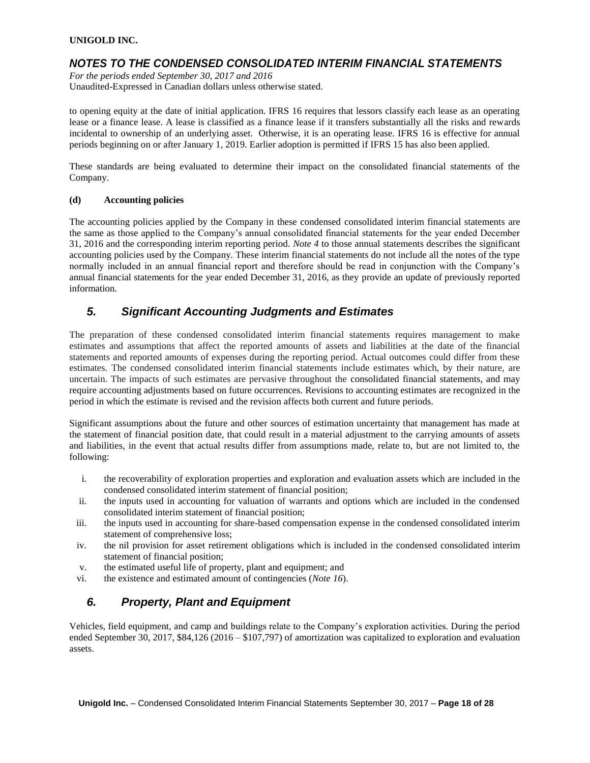### *NOTES TO THE CONDENSED CONSOLIDATED INTERIM FINANCIAL STATEMENTS*

*For the periods ended September 30, 2017 and 2016* Unaudited-Expressed in Canadian dollars unless otherwise stated.

to opening equity at the date of initial application. IFRS 16 requires that lessors classify each lease as an operating lease or a finance lease. A lease is classified as a finance lease if it transfers substantially all the risks and rewards incidental to ownership of an underlying asset. Otherwise, it is an operating lease. IFRS 16 is effective for annual periods beginning on or after January 1, 2019. Earlier adoption is permitted if IFRS 15 has also been applied.

These standards are being evaluated to determine their impact on the consolidated financial statements of the Company.

### **(d) Accounting policies**

The accounting policies applied by the Company in these condensed consolidated interim financial statements are the same as those applied to the Company's annual consolidated financial statements for the year ended December 31, 2016 and the corresponding interim reporting period. *Note 4* to those annual statements describes the significant accounting policies used by the Company. These interim financial statements do not include all the notes of the type normally included in an annual financial report and therefore should be read in conjunction with the Company's annual financial statements for the year ended December 31, 2016, as they provide an update of previously reported information.

# *5. Significant Accounting Judgments and Estimates*

The preparation of these condensed consolidated interim financial statements requires management to make estimates and assumptions that affect the reported amounts of assets and liabilities at the date of the financial statements and reported amounts of expenses during the reporting period. Actual outcomes could differ from these estimates. The condensed consolidated interim financial statements include estimates which, by their nature, are uncertain. The impacts of such estimates are pervasive throughout the consolidated financial statements, and may require accounting adjustments based on future occurrences. Revisions to accounting estimates are recognized in the period in which the estimate is revised and the revision affects both current and future periods.

Significant assumptions about the future and other sources of estimation uncertainty that management has made at the statement of financial position date, that could result in a material adjustment to the carrying amounts of assets and liabilities, in the event that actual results differ from assumptions made, relate to, but are not limited to, the following:

- i. the recoverability of exploration properties and exploration and evaluation assets which are included in the condensed consolidated interim statement of financial position;
- ii. the inputs used in accounting for valuation of warrants and options which are included in the condensed consolidated interim statement of financial position;
- iii. the inputs used in accounting for share-based compensation expense in the condensed consolidated interim statement of comprehensive loss;
- iv. the nil provision for asset retirement obligations which is included in the condensed consolidated interim statement of financial position;
- v. the estimated useful life of property, plant and equipment; and
- vi. the existence and estimated amount of contingencies (*Note 16*).

# *6. Property, Plant and Equipment*

Vehicles, field equipment, and camp and buildings relate to the Company's exploration activities. During the period ended September 30, 2017, \$84,126 (2016 – \$107,797) of amortization was capitalized to exploration and evaluation assets.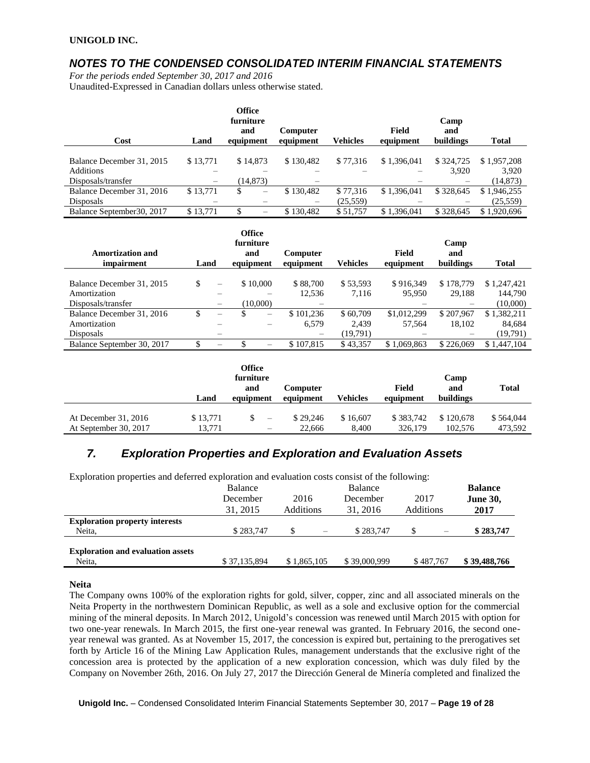### *NOTES TO THE CONDENSED CONSOLIDATED INTERIM FINANCIAL STATEMENTS*

*For the periods ended September 30, 2017 and 2016* Unaudited-Expressed in Canadian dollars unless otherwise stated.

| Cost                       | Land              | <b>Office</b><br>furniture<br>and<br>equipment | Computer<br>equipment | <b>Vehicles</b> | Field<br>equipment | Camp<br>and<br>buildings | <b>Total</b> |
|----------------------------|-------------------|------------------------------------------------|-----------------------|-----------------|--------------------|--------------------------|--------------|
|                            |                   |                                                |                       |                 |                    |                          |              |
| Balance December 31, 2015  | \$13,771          | \$14,873                                       | \$130.482             | \$77,316        | \$1,396,041        | \$324,725                | \$1,957,208  |
| <b>Additions</b>           |                   |                                                |                       |                 |                    | 3,920                    | 3,920        |
| Disposals/transfer         | $\qquad \qquad -$ | (14, 873)                                      |                       |                 |                    |                          | (14, 873)    |
| Balance December 31, 2016  | \$13,771          | \$<br>$\hspace{0.1mm}-\hspace{0.1mm}$          | \$130,482             | \$77,316        | \$1,396,041        | \$328,645                | \$1,946,255  |
| Disposals                  |                   |                                                |                       | (25, 559)       |                    |                          | (25, 559)    |
| Balance September 30, 2017 | \$13,771          | \$                                             | \$130.482             | \$51,757        | \$1,396,041        | \$328,645                | \$1,920,696  |

| <b>Amortization and</b><br>impairment | Land |                          | Office<br>furniture<br>and<br>equipment | Computer<br>equipment | <b>Vehicles</b> | Field<br>equipment | Camp<br>and<br>buildings | <b>Total</b> |
|---------------------------------------|------|--------------------------|-----------------------------------------|-----------------------|-----------------|--------------------|--------------------------|--------------|
|                                       |      |                          |                                         |                       |                 |                    |                          |              |
| Balance December 31, 2015             | \$   | $\overline{\phantom{m}}$ | \$10,000                                | \$88,700              | \$53,593        | \$916.349          | \$178,779                | \$1,247,421  |
| Amortization                          |      |                          |                                         | 12,536                | 7,116           | 95,950             | 29,188                   | 144,790      |
| Disposals/transfer                    |      |                          | (10,000)                                |                       |                 |                    |                          | (10,000)     |
| Balance December 31, 2016             | S    | $\qquad \qquad -$        | S<br>-                                  | \$101.236             | \$60,709        | \$1,012,299        | \$207,967                | \$1,382,211  |
| Amortization                          |      |                          |                                         | 6,579                 | 2.439           | 57.564             | 18,102                   | 84,684       |
| <b>Disposals</b>                      |      |                          |                                         |                       | (19,791)        |                    |                          | (19,791)     |
| Balance September 30, 2017            | S    | $\overline{\phantom{0}}$ |                                         | \$107.815             | \$43,357        | \$1,069,863        | \$226,069                | \$1,447,104  |

|                        | Land     | Office<br>furniture<br>and<br>equipment | Computer<br>equipment | Vehicles | Field<br>equipment | Camp<br>and<br>buildings | <b>Total</b> |
|------------------------|----------|-----------------------------------------|-----------------------|----------|--------------------|--------------------------|--------------|
| At December $31, 2016$ | \$13,771 | $\overline{\phantom{a}}$                | \$29,246              | \$16,607 | \$383,742          | \$120,678                | \$564,044    |
| At September 30, 2017  | 13,771   | $\overline{\phantom{0}}$                | 22,666                | 8.400    | 326,179            | 102,576                  | 473.592      |

# *7. Exploration Properties and Exploration and Evaluation Assets*

| Exploration properties and deferred exploration and evaluation costs consist of the following: |              |             |                |           |                 |
|------------------------------------------------------------------------------------------------|--------------|-------------|----------------|-----------|-----------------|
|                                                                                                | Balance      |             | <b>Balance</b> |           | <b>Balance</b>  |
|                                                                                                | December     | 2016        | December       | 2017      | <b>June 30,</b> |
|                                                                                                | 31, 2015     | Additions   | 31, 2016       | Additions | 2017            |
| <b>Exploration property interests</b>                                                          |              |             |                |           |                 |
| Neita,                                                                                         | \$283,747    | \$          | \$283.747      | \$.       | \$283,747       |
|                                                                                                |              |             |                |           |                 |
| <b>Exploration and evaluation assets</b>                                                       |              |             |                |           |                 |
| Neita,                                                                                         | \$37,135,894 | \$1,865,105 | \$39,000,999   | \$487,767 | \$39,488,766    |

### **Neita**

The Company owns 100% of the exploration rights for gold, silver, copper, zinc and all associated minerals on the Neita Property in the northwestern Dominican Republic, as well as a sole and exclusive option for the commercial mining of the mineral deposits. In March 2012, Unigold's concession was renewed until March 2015 with option for two one-year renewals. In March 2015, the first one-year renewal was granted. In February 2016, the second oneyear renewal was granted. As at November 15, 2017, the concession is expired but, pertaining to the prerogatives set forth by Article 16 of the Mining Law Application Rules, management understands that the exclusive right of the concession area is protected by the application of a new exploration concession, which was duly filed by the Company on November 26th, 2016. On July 27, 2017 the Dirección General de Minería completed and finalized the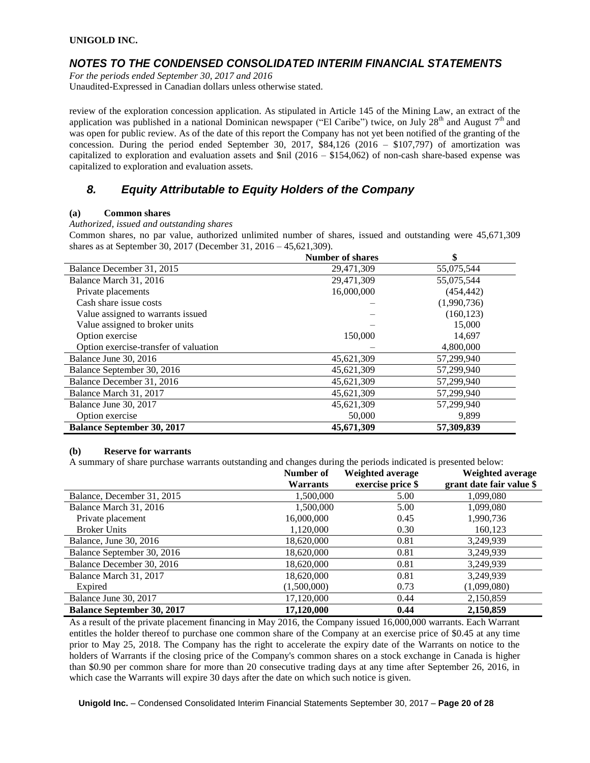### *NOTES TO THE CONDENSED CONSOLIDATED INTERIM FINANCIAL STATEMENTS*

*For the periods ended September 30, 2017 and 2016*

Unaudited-Expressed in Canadian dollars unless otherwise stated.

review of the exploration concession application. As stipulated in Article 145 of the Mining Law, an extract of the application was published in a national Dominican newspaper ("El Caribe") twice, on July  $28<sup>th</sup>$  and August  $7<sup>th</sup>$  and was open for public review. As of the date of this report the Company has not yet been notified of the granting of the concession. During the period ended September 30, 2017,  $\$84,126$  (2016 – \$107,797) of amortization was capitalized to exploration and evaluation assets and  $\sin(2016 - \frac{154,062}{10})$  of non-cash share-based expense was capitalized to exploration and evaluation assets.

# *8. Equity Attributable to Equity Holders of the Company*

### **(a) Common shares**

*Authorized, issued and outstanding shares*

Common shares, no par value, authorized unlimited number of shares, issued and outstanding were 45,671,309 shares as at September 30, 2017 (December 31, 2016 – 45,621,309).

|                                       | <b>Number of shares</b> | \$          |
|---------------------------------------|-------------------------|-------------|
| Balance December 31, 2015             | 29,471,309              | 55,075,544  |
| Balance March 31, 2016                | 29,471,309              | 55,075,544  |
| Private placements                    | 16,000,000              | (454, 442)  |
| Cash share issue costs                |                         | (1,990,736) |
| Value assigned to warrants issued     |                         | (160, 123)  |
| Value assigned to broker units        |                         | 15,000      |
| Option exercise                       | 150,000                 | 14,697      |
| Option exercise-transfer of valuation |                         | 4,800,000   |
| Balance June 30, 2016                 | 45,621,309              | 57,299,940  |
| Balance September 30, 2016            | 45,621,309              | 57,299,940  |
| Balance December 31, 2016             | 45,621,309              | 57,299,940  |
| Balance March 31, 2017                | 45,621,309              | 57,299,940  |
| Balance June 30, 2017                 | 45,621,309              | 57,299,940  |
| Option exercise                       | 50,000                  | 9,899       |
| <b>Balance September 30, 2017</b>     | 45,671,309              | 57,309,839  |

#### **(b) Reserve for warrants**

A summary of share purchase warrants outstanding and changes during the periods indicated is presented below:

| ╯                                 | Number of<br><b>Warrants</b> | Weighted average<br>exercise price \$ | Weighted average<br>grant date fair value \$ |
|-----------------------------------|------------------------------|---------------------------------------|----------------------------------------------|
| Balance, December 31, 2015        | 1,500,000                    | 5.00                                  | 1,099,080                                    |
| Balance March 31, 2016            | 1,500,000                    | 5.00                                  | 1,099,080                                    |
| Private placement                 | 16,000,000                   | 0.45                                  | 1,990,736                                    |
| <b>Broker Units</b>               | 1,120,000                    | 0.30                                  | 160,123                                      |
| Balance, June 30, 2016            | 18,620,000                   | 0.81                                  | 3,249,939                                    |
| Balance September 30, 2016        | 18,620,000                   | 0.81                                  | 3,249,939                                    |
| Balance December 30, 2016         | 18,620,000                   | 0.81                                  | 3,249,939                                    |
| Balance March 31, 2017            | 18,620,000                   | 0.81                                  | 3,249,939                                    |
| Expired                           | (1,500,000)                  | 0.73                                  | (1,099,080)                                  |
| Balance June 30, 2017             | 17,120,000                   | 0.44                                  | 2,150,859                                    |
| <b>Balance September 30, 2017</b> | 17,120,000                   | 0.44                                  | 2,150,859                                    |

As a result of the private placement financing in May 2016, the Company issued 16,000,000 warrants. Each Warrant entitles the holder thereof to purchase one common share of the Company at an exercise price of \$0.45 at any time prior to May 25, 2018. The Company has the right to accelerate the expiry date of the Warrants on notice to the holders of Warrants if the closing price of the Company's common shares on a stock exchange in Canada is higher than \$0.90 per common share for more than 20 consecutive trading days at any time after September 26, 2016, in which case the Warrants will expire 30 days after the date on which such notice is given.

**Unigold Inc.** – Condensed Consolidated Interim Financial Statements September 30, 2017 – **Page 20 of 28**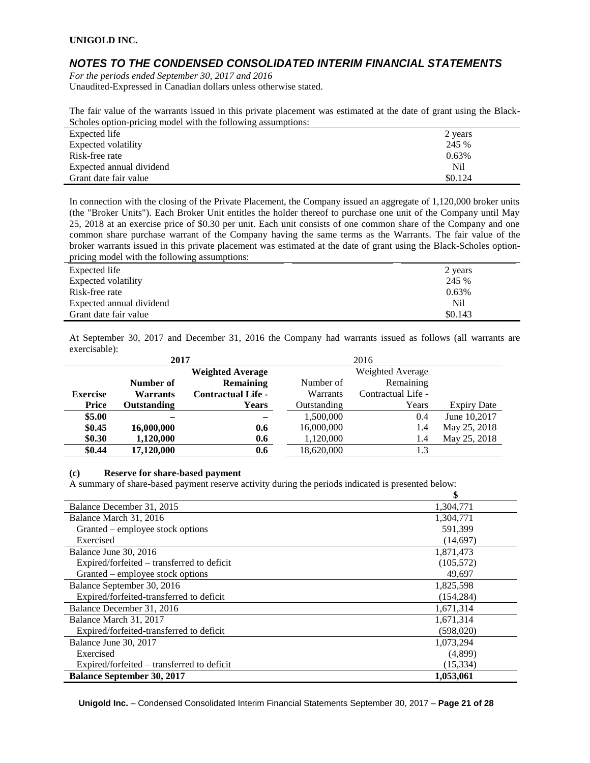### *NOTES TO THE CONDENSED CONSOLIDATED INTERIM FINANCIAL STATEMENTS*

*For the periods ended September 30, 2017 and 2016* Unaudited-Expressed in Canadian dollars unless otherwise stated.

The fair value of the warrants issued in this private placement was estimated at the date of grant using the Black-Scholes option-pricing model with the following assumptions:

| Expected life            | 2 years |
|--------------------------|---------|
| Expected volatility      | 245 %   |
| Risk-free rate           | 0.63%   |
| Expected annual dividend | Nil     |
| Grant date fair value    | \$0.124 |

In connection with the closing of the Private Placement, the Company issued an aggregate of 1,120,000 broker units (the "Broker Units"). Each Broker Unit entitles the holder thereof to purchase one unit of the Company until May 25, 2018 at an exercise price of \$0.30 per unit. Each unit consists of one common share of the Company and one common share purchase warrant of the Company having the same terms as the Warrants. The fair value of the broker warrants issued in this private placement was estimated at the date of grant using the Black-Scholes optionpricing model with the following assumptions:

| Expected life            | 2 years |
|--------------------------|---------|
| Expected volatility      | 245 %   |
| Risk-free rate           | 0.63%   |
| Expected annual dividend | Nil     |
| Grant date fair value    | \$0.143 |

At September 30, 2017 and December 31, 2016 the Company had warrants issued as follows (all warrants are exercisable):

| 2017            |                         |                           |             | 2016               |                    |  |  |
|-----------------|-------------------------|---------------------------|-------------|--------------------|--------------------|--|--|
|                 | <b>Weighted Average</b> |                           |             | Weighted Average   |                    |  |  |
|                 | Number of               | <b>Remaining</b>          | Number of   | Remaining          |                    |  |  |
| <b>Exercise</b> | <b>Warrants</b>         | <b>Contractual Life -</b> | Warrants    | Contractual Life - |                    |  |  |
| Price           | Outstanding             | Years                     | Outstanding | Years              | <b>Expiry Date</b> |  |  |
| \$5.00          |                         |                           | 1,500,000   | 0.4                | June 10,2017       |  |  |
| \$0.45          | 16,000,000              | 0.6                       | 16,000,000  | 1.4                | May 25, 2018       |  |  |
| \$0.30          | 1,120,000               | 0.6                       | 1,120,000   | 1.4                | May 25, 2018       |  |  |
| \$0.44          | 17,120,000              | 0.6                       | 18,620,000  | 1.3                |                    |  |  |

#### **(c) Reserve for share-based payment**

A summary of share-based payment reserve activity during the periods indicated is presented below:

|                                            | \$         |
|--------------------------------------------|------------|
| Balance December 31, 2015                  | 1,304,771  |
| Balance March 31, 2016                     | 1,304,771  |
| Granted – employee stock options           | 591,399    |
| Exercised                                  | (14,697)   |
| Balance June 30, 2016                      | 1,871,473  |
| Expired/forfeited – transferred to deficit | (105, 572) |
| Granted – employee stock options           | 49,697     |
| Balance September 30, 2016                 | 1,825,598  |
| Expired/forfeited-transferred to deficit   | (154, 284) |
| Balance December 31, 2016                  | 1,671,314  |
| Balance March 31, 2017                     | 1,671,314  |
| Expired/forfeited-transferred to deficit   | (598,020)  |
| Balance June 30, 2017                      | 1,073,294  |
| Exercised                                  | (4,899)    |
| Expired/forfeited – transferred to deficit | (15, 334)  |
| <b>Balance September 30, 2017</b>          | 1,053,061  |

**Unigold Inc.** – Condensed Consolidated Interim Financial Statements September 30, 2017 – **Page 21 of 28**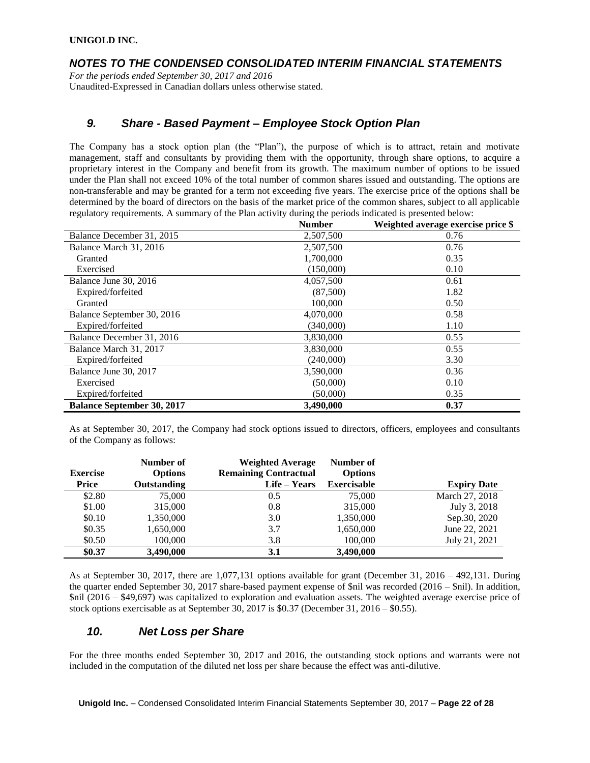### *NOTES TO THE CONDENSED CONSOLIDATED INTERIM FINANCIAL STATEMENTS*

*For the periods ended September 30, 2017 and 2016* Unaudited-Expressed in Canadian dollars unless otherwise stated.

### *9. Share - Based Payment – Employee Stock Option Plan*

The Company has a stock option plan (the "Plan"), the purpose of which is to attract, retain and motivate management, staff and consultants by providing them with the opportunity, through share options, to acquire a proprietary interest in the Company and benefit from its growth. The maximum number of options to be issued under the Plan shall not exceed 10% of the total number of common shares issued and outstanding. The options are non-transferable and may be granted for a term not exceeding five years. The exercise price of the options shall be determined by the board of directors on the basis of the market price of the common shares, subject to all applicable regulatory requirements. A summary of the Plan activity during the periods indicated is presented below:

|                                   | <b>Number</b> | Weighted average exercise price \$ |
|-----------------------------------|---------------|------------------------------------|
| Balance December 31, 2015         | 2,507,500     | 0.76                               |
| Balance March 31, 2016            | 2,507,500     | 0.76                               |
| Granted                           | 1,700,000     | 0.35                               |
| Exercised                         | (150,000)     | 0.10                               |
| Balance June 30, 2016             | 4,057,500     | 0.61                               |
| Expired/forfeited                 | (87,500)      | 1.82                               |
| Granted                           | 100,000       | 0.50                               |
| Balance September 30, 2016        | 4,070,000     | 0.58                               |
| Expired/forfeited                 | (340,000)     | 1.10                               |
| Balance December 31, 2016         | 3,830,000     | 0.55                               |
| Balance March 31, 2017            | 3,830,000     | 0.55                               |
| Expired/forfeited                 | (240,000)     | 3.30                               |
| Balance June 30, 2017             | 3,590,000     | 0.36                               |
| Exercised                         | (50,000)      | 0.10                               |
| Expired/forfeited                 | (50,000)      | 0.35                               |
| <b>Balance September 30, 2017</b> | 3.490.000     | 0.37                               |

As at September 30, 2017, the Company had stock options issued to directors, officers, employees and consultants of the Company as follows:

| <b>Exercise</b> | Number of<br><b>Options</b> | <b>Weighted Average</b><br><b>Remaining Contractual</b> | Number of<br><b>Options</b> |                    |
|-----------------|-----------------------------|---------------------------------------------------------|-----------------------------|--------------------|
| Price           | Outstanding                 | Life – Years                                            | <b>Exercisable</b>          | <b>Expiry Date</b> |
| \$2.80          | 75,000                      | 0.5                                                     | 75,000                      | March 27, 2018     |
| \$1.00          | 315,000                     | 0.8                                                     | 315,000                     | July 3, 2018       |
| \$0.10          | 1,350,000                   | 3.0                                                     | 1,350,000                   | Sep. 30, 2020      |
| \$0.35          | 1,650,000                   | 3.7                                                     | 1,650,000                   | June 22, 2021      |
| \$0.50          | 100,000                     | 3.8                                                     | 100,000                     | July 21, 2021      |
| \$0.37          | 3,490,000                   | 3.1                                                     | 3,490,000                   |                    |

As at September 30, 2017, there are 1,077,131 options available for grant (December 31, 2016 – 492,131. During the quarter ended September 30, 2017 share-based payment expense of \$nil was recorded (2016 – \$nil). In addition, \$nil (2016 – \$49,697) was capitalized to exploration and evaluation assets. The weighted average exercise price of stock options exercisable as at September 30, 2017 is  $$0.37$  (December 31, 2016 –  $$0.55$ ).

# *10. Net Loss per Share*

For the three months ended September 30, 2017 and 2016, the outstanding stock options and warrants were not included in the computation of the diluted net loss per share because the effect was anti-dilutive.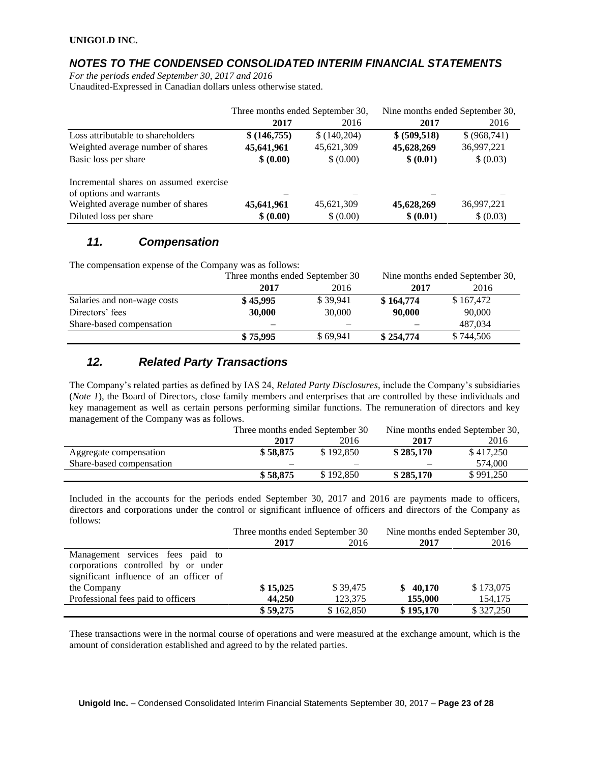### *NOTES TO THE CONDENSED CONSOLIDATED INTERIM FINANCIAL STATEMENTS*

*For the periods ended September 30, 2017 and 2016* Unaudited-Expressed in Canadian dollars unless otherwise stated.

|                                        | Three months ended September 30, |             | Nine months ended September 30, |               |
|----------------------------------------|----------------------------------|-------------|---------------------------------|---------------|
|                                        | 2017                             | 2016        | 2017                            | 2016          |
| Loss attributable to shareholders      | \$ (146, 755)                    | \$(140,204) | \$ (509, 518)                   | \$ (968, 741) |
| Weighted average number of shares      | 45,641,961                       | 45,621,309  | 45,628,269                      | 36,997,221    |
| Basic loss per share                   | \$ (0.00)                        | \$ (0.00)   | \$ (0.01)                       | \$ (0.03)     |
| Incremental shares on assumed exercise |                                  |             |                                 |               |
| of options and warrants                |                                  |             |                                 |               |
| Weighted average number of shares      | 45,641,961                       | 45,621,309  | 45,628,269                      | 36,997,221    |
| Diluted loss per share                 | \$ (0.00)                        | \$ (0.00)   | \$ (0.01)                       | \$ (0.03)     |

### *11. Compensation*

The compensation expense of the Company was as follows:

|                             | Three months ended September 30 |          |           | Nine months ended September 30, |  |  |
|-----------------------------|---------------------------------|----------|-----------|---------------------------------|--|--|
|                             | 2017                            | 2016     | 2017      | 2016                            |  |  |
| Salaries and non-wage costs | \$45,995                        | \$39.941 | \$164,774 | \$167,472                       |  |  |
| Directors' fees             | 30,000                          | 30,000   | 90,000    | 90,000                          |  |  |
| Share-based compensation    | $\overline{\phantom{0}}$        |          |           | 487,034                         |  |  |
|                             | \$75,995                        | \$69.941 | \$254,774 | \$744,506                       |  |  |

# *12. Related Party Transactions*

The Company's related parties as defined by IAS 24, *Related Party Disclosures*, include the Company's subsidiaries (*Note 1*), the Board of Directors, close family members and enterprises that are controlled by these individuals and key management as well as certain persons performing similar functions. The remuneration of directors and key management of the Company was as follows.

|                          | Three months ended September 30 |           | Nine months ended September 30, |           |
|--------------------------|---------------------------------|-----------|---------------------------------|-----------|
|                          | 2017                            | 2016      | 2017                            | 2016      |
| Aggregate compensation   | \$58.875                        | \$192,850 | \$285.170                       | \$417.250 |
| Share-based compensation |                                 |           |                                 | 574,000   |
|                          | \$58,875                        | \$192,850 | \$285,170                       | \$991.250 |

Included in the accounts for the periods ended September 30, 2017 and 2016 are payments made to officers, directors and corporations under the control or significant influence of officers and directors of the Company as follows:

|                                        | Three months ended September 30 |           | Nine months ended September 30, |           |
|----------------------------------------|---------------------------------|-----------|---------------------------------|-----------|
|                                        | 2017                            | 2016      | 2017                            | 2016      |
| Management services fees paid to       |                                 |           |                                 |           |
| corporations controlled by or under    |                                 |           |                                 |           |
| significant influence of an officer of |                                 |           |                                 |           |
| the Company                            | \$15,025                        | \$39,475  | \$40,170                        | \$173,075 |
| Professional fees paid to officers     | 44,250                          | 123,375   | 155,000                         | 154,175   |
|                                        | \$59,275                        | \$162,850 | \$195,170                       | \$327,250 |

These transactions were in the normal course of operations and were measured at the exchange amount, which is the amount of consideration established and agreed to by the related parties.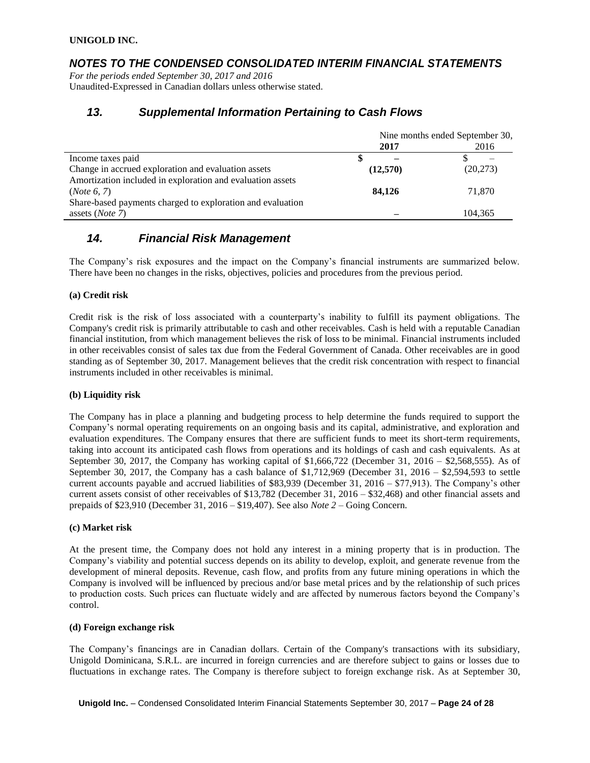### *NOTES TO THE CONDENSED CONSOLIDATED INTERIM FINANCIAL STATEMENTS*

*For the periods ended September 30, 2017 and 2016* Unaudited-Expressed in Canadian dollars unless otherwise stated.

### *13. Supplemental Information Pertaining to Cash Flows*

|                                                            | Nine months ended September 30, |           |  |
|------------------------------------------------------------|---------------------------------|-----------|--|
|                                                            | 2017                            | 2016      |  |
| Income taxes paid                                          |                                 |           |  |
| Change in accrued exploration and evaluation assets        | (12,570)                        | (20, 273) |  |
| Amortization included in exploration and evaluation assets |                                 |           |  |
| (Note 6, 7)                                                | 84,126                          | 71,870    |  |
| Share-based payments charged to exploration and evaluation |                                 |           |  |
| assets ( <i>Note</i> $7$ )                                 |                                 | 104.365   |  |

### *14. Financial Risk Management*

The Company's risk exposures and the impact on the Company's financial instruments are summarized below. There have been no changes in the risks, objectives, policies and procedures from the previous period.

#### **(a) Credit risk**

Credit risk is the risk of loss associated with a counterparty's inability to fulfill its payment obligations. The Company's credit risk is primarily attributable to cash and other receivables. Cash is held with a reputable Canadian financial institution, from which management believes the risk of loss to be minimal. Financial instruments included in other receivables consist of sales tax due from the Federal Government of Canada. Other receivables are in good standing as of September 30, 2017. Management believes that the credit risk concentration with respect to financial instruments included in other receivables is minimal.

#### **(b) Liquidity risk**

The Company has in place a planning and budgeting process to help determine the funds required to support the Company's normal operating requirements on an ongoing basis and its capital, administrative, and exploration and evaluation expenditures. The Company ensures that there are sufficient funds to meet its short-term requirements, taking into account its anticipated cash flows from operations and its holdings of cash and cash equivalents. As at September 30, 2017, the Company has working capital of \$1,666,722 (December 31, 2016 – \$2,568,555). As of September 30, 2017, the Company has a cash balance of  $$1,712,969$  (December 31, 2016 –  $$2,594,593$  to settle current accounts payable and accrued liabilities of \$83,939 (December 31, 2016 – \$77,913). The Company's other current assets consist of other receivables of \$13,782 (December 31, 2016 – \$32,468) and other financial assets and prepaids of \$23,910 (December 31, 2016 – \$19,407). See also *Note 2* – Going Concern.

#### **(c) Market risk**

At the present time, the Company does not hold any interest in a mining property that is in production. The Company's viability and potential success depends on its ability to develop, exploit, and generate revenue from the development of mineral deposits. Revenue, cash flow, and profits from any future mining operations in which the Company is involved will be influenced by precious and/or base metal prices and by the relationship of such prices to production costs. Such prices can fluctuate widely and are affected by numerous factors beyond the Company's control.

#### **(d) Foreign exchange risk**

The Company's financings are in Canadian dollars. Certain of the Company's transactions with its subsidiary, Unigold Dominicana, S.R.L. are incurred in foreign currencies and are therefore subject to gains or losses due to fluctuations in exchange rates. The Company is therefore subject to foreign exchange risk. As at September 30,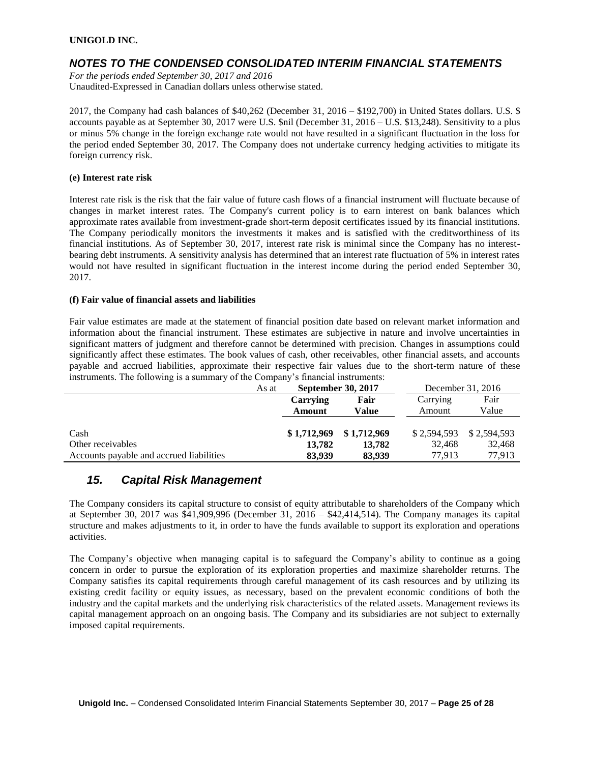### *NOTES TO THE CONDENSED CONSOLIDATED INTERIM FINANCIAL STATEMENTS*

*For the periods ended September 30, 2017 and 2016* Unaudited-Expressed in Canadian dollars unless otherwise stated.

2017, the Company had cash balances of \$40,262 (December 31, 2016 – \$192,700) in United States dollars. U.S. \$ accounts payable as at September 30, 2017 were U.S. \$nil (December 31, 2016 – U.S. \$13,248). Sensitivity to a plus or minus 5% change in the foreign exchange rate would not have resulted in a significant fluctuation in the loss for the period ended September 30, 2017. The Company does not undertake currency hedging activities to mitigate its foreign currency risk.

#### **(e) Interest rate risk**

Interest rate risk is the risk that the fair value of future cash flows of a financial instrument will fluctuate because of changes in market interest rates. The Company's current policy is to earn interest on bank balances which approximate rates available from investment-grade short-term deposit certificates issued by its financial institutions. The Company periodically monitors the investments it makes and is satisfied with the creditworthiness of its financial institutions. As of September 30, 2017, interest rate risk is minimal since the Company has no interestbearing debt instruments. A sensitivity analysis has determined that an interest rate fluctuation of 5% in interest rates would not have resulted in significant fluctuation in the interest income during the period ended September 30, 2017.

#### **(f) Fair value of financial assets and liabilities**

Fair value estimates are made at the statement of financial position date based on relevant market information and information about the financial instrument. These estimates are subjective in nature and involve uncertainties in significant matters of judgment and therefore cannot be determined with precision. Changes in assumptions could significantly affect these estimates. The book values of cash, other receivables, other financial assets, and accounts payable and accrued liabilities, approximate their respective fair values due to the short-term nature of these instruments. The following is a summary of the Company's financial instruments:

|                                          | As at | <b>September 30, 2017</b> |             | December 31, 2016 |             |
|------------------------------------------|-------|---------------------------|-------------|-------------------|-------------|
|                                          |       | Carrying                  | Fair        | Carrying          | Fair        |
|                                          |       | Amount                    | Value       | Amount            | Value       |
|                                          |       |                           |             |                   |             |
| Cash                                     |       | \$1,712,969               | \$1,712,969 | \$2,594,593       | \$2,594,593 |
| Other receivables                        |       | 13.782                    | 13.782      | 32.468            | 32,468      |
| Accounts payable and accrued liabilities |       | 83,939                    | 83,939      | 77.913            | 77,913      |

### *15. Capital Risk Management*

The Company considers its capital structure to consist of equity attributable to shareholders of the Company which at September 30, 2017 was \$41,909,996 (December 31, 2016 – \$42,414,514). The Company manages its capital structure and makes adjustments to it, in order to have the funds available to support its exploration and operations activities.

The Company's objective when managing capital is to safeguard the Company's ability to continue as a going concern in order to pursue the exploration of its exploration properties and maximize shareholder returns. The Company satisfies its capital requirements through careful management of its cash resources and by utilizing its existing credit facility or equity issues, as necessary, based on the prevalent economic conditions of both the industry and the capital markets and the underlying risk characteristics of the related assets. Management reviews its capital management approach on an ongoing basis. The Company and its subsidiaries are not subject to externally imposed capital requirements.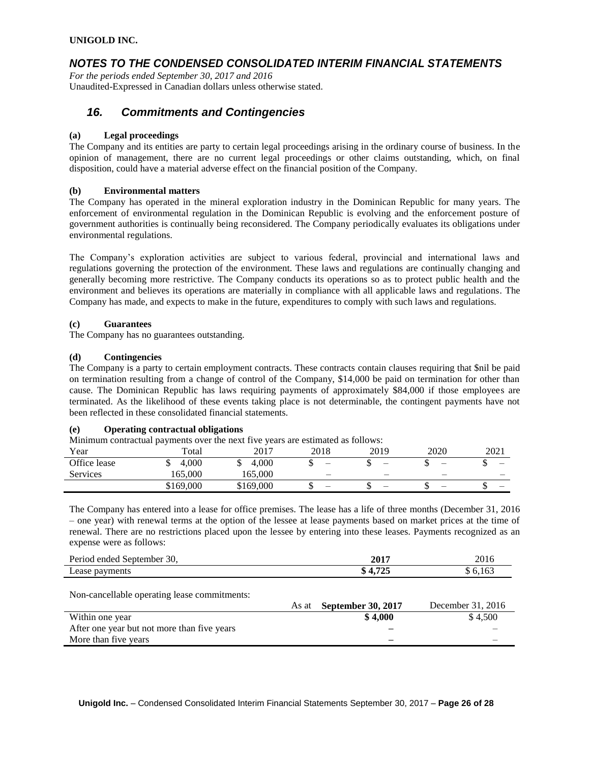# *NOTES TO THE CONDENSED CONSOLIDATED INTERIM FINANCIAL STATEMENTS*

*For the periods ended September 30, 2017 and 2016* Unaudited-Expressed in Canadian dollars unless otherwise stated.

### *16. Commitments and Contingencies*

### **(a) Legal proceedings**

The Company and its entities are party to certain legal proceedings arising in the ordinary course of business. In the opinion of management, there are no current legal proceedings or other claims outstanding, which, on final disposition, could have a material adverse effect on the financial position of the Company.

### **(b) Environmental matters**

The Company has operated in the mineral exploration industry in the Dominican Republic for many years. The enforcement of environmental regulation in the Dominican Republic is evolving and the enforcement posture of government authorities is continually being reconsidered. The Company periodically evaluates its obligations under environmental regulations.

The Company's exploration activities are subject to various federal, provincial and international laws and regulations governing the protection of the environment. These laws and regulations are continually changing and generally becoming more restrictive. The Company conducts its operations so as to protect public health and the environment and believes its operations are materially in compliance with all applicable laws and regulations. The Company has made, and expects to make in the future, expenditures to comply with such laws and regulations.

### **(c) Guarantees**

The Company has no guarantees outstanding.

### **(d) Contingencies**

The Company is a party to certain employment contracts. These contracts contain clauses requiring that \$nil be paid on termination resulting from a change of control of the Company, \$14,000 be paid on termination for other than cause. The Dominican Republic has laws requiring payments of approximately \$84,000 if those employees are terminated. As the likelihood of these events taking place is not determinable, the contingent payments have not been reflected in these consolidated financial statements.

### **(e) Operating contractual obligations**

Minimum contractual payments over the next five years are estimated as follows:

| Year            | Total     | 2017      | 2018                     | 2019                     | 2020 | 2021 |
|-----------------|-----------|-----------|--------------------------|--------------------------|------|------|
| Office lease    | 4.000     | 4.000     | $\overline{\phantom{a}}$ |                          | -    | –    |
| <b>Services</b> | 165.000   | 165.000   |                          | -                        | -    | _    |
|                 | \$169,000 | \$169,000 | $\overline{\phantom{0}}$ | $\overline{\phantom{0}}$ | -    |      |

The Company has entered into a lease for office premises. The lease has a life of three months (December 31, 2016 – one year) with renewal terms at the option of the lessee at lease payments based on market prices at the time of renewal. There are no restrictions placed upon the lessee by entering into these leases. Payments recognized as an expense were as follows:

| $\overline{2}$<br>$\mathbf{p}_{\alpha r i}$<br>Sentember<br>ended<br>эv. | 2017  | ንስ 1<br>2010 |
|--------------------------------------------------------------------------|-------|--------------|
| $\overline{\phantom{a}}$<br>easo<br>avments<br>റഃ<br>Loaso<br>-----      | - - - |              |
|                                                                          |       |              |

Non-cancellable operating lease commitments:

|                                             | As at | <b>September 30, 2017</b> | December 31, 2016 |
|---------------------------------------------|-------|---------------------------|-------------------|
| Within one year                             |       | \$4.000                   | \$4.500           |
| After one year but not more than five years |       |                           |                   |
| More than five years                        |       | -                         | -                 |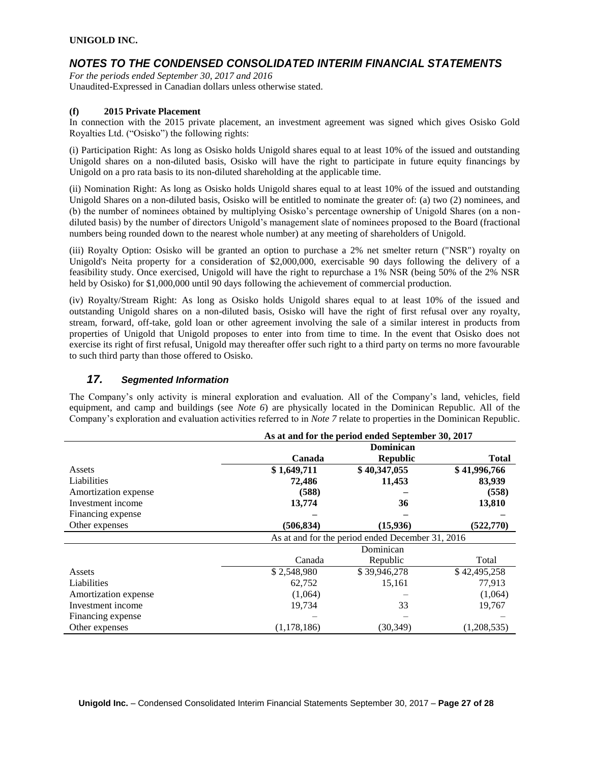## *NOTES TO THE CONDENSED CONSOLIDATED INTERIM FINANCIAL STATEMENTS*

*For the periods ended September 30, 2017 and 2016* Unaudited-Expressed in Canadian dollars unless otherwise stated.

### **(f) 2015 Private Placement**

In connection with the 2015 private placement, an investment agreement was signed which gives Osisko Gold Royalties Ltd. ("Osisko") the following rights:

(i) Participation Right: As long as Osisko holds Unigold shares equal to at least 10% of the issued and outstanding Unigold shares on a non-diluted basis, Osisko will have the right to participate in future equity financings by Unigold on a pro rata basis to its non-diluted shareholding at the applicable time.

(ii) Nomination Right: As long as Osisko holds Unigold shares equal to at least 10% of the issued and outstanding Unigold Shares on a non-diluted basis, Osisko will be entitled to nominate the greater of: (a) two (2) nominees, and (b) the number of nominees obtained by multiplying Osisko's percentage ownership of Unigold Shares (on a nondiluted basis) by the number of directors Unigold's management slate of nominees proposed to the Board (fractional numbers being rounded down to the nearest whole number) at any meeting of shareholders of Unigold.

(iii) Royalty Option: Osisko will be granted an option to purchase a 2% net smelter return ("NSR") royalty on Unigold's Neita property for a consideration of \$2,000,000, exercisable 90 days following the delivery of a feasibility study. Once exercised, Unigold will have the right to repurchase a 1% NSR (being 50% of the 2% NSR held by Osisko) for \$1,000,000 until 90 days following the achievement of commercial production.

(iv) Royalty/Stream Right: As long as Osisko holds Unigold shares equal to at least 10% of the issued and outstanding Unigold shares on a non-diluted basis, Osisko will have the right of first refusal over any royalty, stream, forward, off-take, gold loan or other agreement involving the sale of a similar interest in products from properties of Unigold that Unigold proposes to enter into from time to time. In the event that Osisko does not exercise its right of first refusal, Unigold may thereafter offer such right to a third party on terms no more favourable to such third party than those offered to Osisko.

### *17. Segmented Information*

The Company's only activity is mineral exploration and evaluation. All of the Company's land, vehicles, field equipment, and camp and buildings (see *Note 6*) are physically located in the Dominican Republic. All of the Company's exploration and evaluation activities referred to in *Note 7* relate to properties in the Dominican Republic.

|                      |             | As at and for the period ended September 30, 2017 |              |
|----------------------|-------------|---------------------------------------------------|--------------|
|                      |             | Dominican                                         |              |
|                      | Canada      | <b>Republic</b>                                   | <b>Total</b> |
| Assets               | \$1,649,711 | \$40,347,055                                      | \$41,996,766 |
| Liabilities          | 72,486      | 11,453                                            | 83,939       |
| Amortization expense | (588)       |                                                   | (558)        |
| Investment income    | 13,774      | 36                                                | 13,810       |
| Financing expense    |             |                                                   |              |
| Other expenses       | (506, 834)  | (15,936)                                          | (522, 770)   |
|                      |             | As at and for the period ended December 31, 2016  |              |
|                      |             | Dominican                                         |              |
|                      | Canada      | Republic                                          | Total        |
| Assets               | \$2,548,980 | \$39,946,278                                      | \$42,495,258 |
| Liabilities          | 62.752      | 15,161                                            | 77,913       |
| Amortization expense | (1,064)     |                                                   | (1,064)      |
| Investment income    | 19,734      | 33                                                | 19,767       |
| Financing expense    |             |                                                   |              |
| Other expenses       | (1,178,186) | (30, 349)                                         | (1,208,535)  |